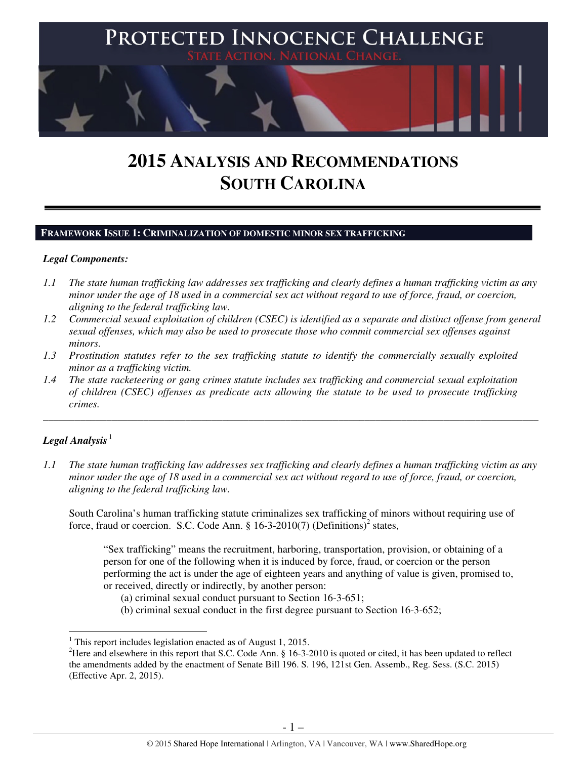

# **2015 ANALYSIS AND RECOMMENDATIONS SOUTH CAROLINA**

## **FRAMEWORK ISSUE 1: CRIMINALIZATION OF DOMESTIC MINOR SEX TRAFFICKING**

## *Legal Components:*

- *1.1 The state human trafficking law addresses sex trafficking and clearly defines a human trafficking victim as any minor under the age of 18 used in a commercial sex act without regard to use of force, fraud, or coercion, aligning to the federal trafficking law.*
- *1.2 Commercial sexual exploitation of children (CSEC) is identified as a separate and distinct offense from general sexual offenses, which may also be used to prosecute those who commit commercial sex offenses against minors.*
- *1.3 Prostitution statutes refer to the sex trafficking statute to identify the commercially sexually exploited minor as a trafficking victim.*
- *1.4 The state racketeering or gang crimes statute includes sex trafficking and commercial sexual exploitation of children (CSEC) offenses as predicate acts allowing the statute to be used to prosecute trafficking crimes.*

# Legal Analysis<sup>1</sup>

l

*1.1 The state human trafficking law addresses sex trafficking and clearly defines a human trafficking victim as any minor under the age of 18 used in a commercial sex act without regard to use of force, fraud, or coercion, aligning to the federal trafficking law.*

\_\_\_\_\_\_\_\_\_\_\_\_\_\_\_\_\_\_\_\_\_\_\_\_\_\_\_\_\_\_\_\_\_\_\_\_\_\_\_\_\_\_\_\_\_\_\_\_\_\_\_\_\_\_\_\_\_\_\_\_\_\_\_\_\_\_\_\_\_\_\_\_\_\_\_\_\_\_\_\_\_\_\_\_\_\_\_\_\_\_\_\_\_\_

South Carolina's human trafficking statute criminalizes sex trafficking of minors without requiring use of force, fraud or coercion. S.C. Code Ann. § 16-3-2010(7) (Definitions)<sup>2</sup> states,

"Sex trafficking" means the recruitment, harboring, transportation, provision, or obtaining of a person for one of the following when it is induced by force, fraud, or coercion or the person performing the act is under the age of eighteen years and anything of value is given, promised to, or received, directly or indirectly, by another person:

(a) criminal sexual conduct pursuant to Section 16-3-651;

(b) criminal sexual conduct in the first degree pursuant to Section 16-3-652;

<sup>&</sup>lt;sup>1</sup> This report includes legislation enacted as of August 1, 2015.

<sup>&</sup>lt;sup>2</sup>Here and elsewhere in this report that S.C. Code Ann.  $\S$  16-3-2010 is quoted or cited, it has been updated to reflect the amendments added by the enactment of Senate Bill 196. S. 196, 121st Gen. Assemb., Reg. Sess. (S.C. 2015) (Effective Apr. 2, 2015).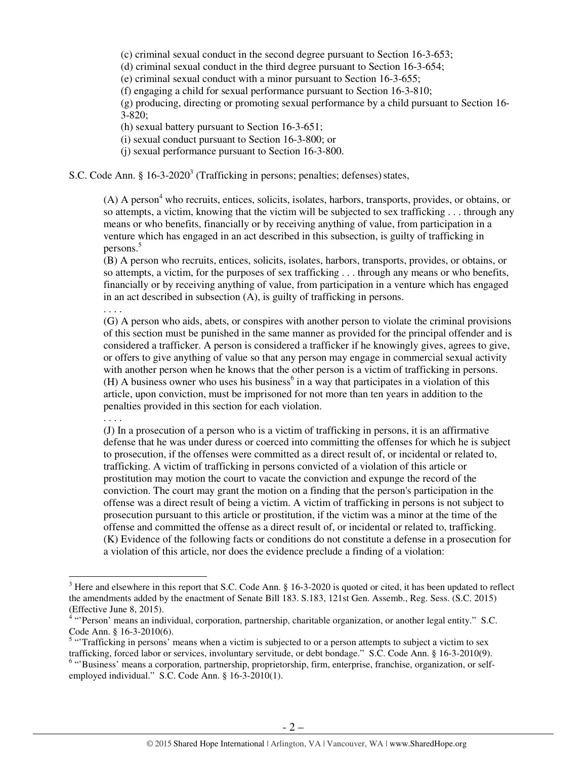(c) criminal sexual conduct in the second degree pursuant to Section 16-3-653;

(d) criminal sexual conduct in the third degree pursuant to Section 16-3-654;

(e) criminal sexual conduct with a minor pursuant to Section 16-3-655;

(f) engaging a child for sexual performance pursuant to Section 16-3-810;

(g) producing, directing or promoting sexual performance by a child pursuant to Section 16- 3-820;

(h) sexual battery pursuant to Section 16-3-651;

(i) sexual conduct pursuant to Section 16-3-800; or

(j) sexual performance pursuant to Section 16-3-800.

S.C. Code Ann. §  $16-3-2020^3$  (Trafficking in persons; penalties; defenses) states,

 $(A)$  A person<sup>4</sup> who recruits, entices, solicits, isolates, harbors, transports, provides, or obtains, or so attempts, a victim, knowing that the victim will be subjected to sex trafficking . . . through any means or who benefits, financially or by receiving anything of value, from participation in a venture which has engaged in an act described in this subsection, is guilty of trafficking in persons.<sup>5</sup>

(B) A person who recruits, entices, solicits, isolates, harbors, transports, provides, or obtains, or so attempts, a victim, for the purposes of sex trafficking . . . through any means or who benefits, financially or by receiving anything of value, from participation in a venture which has engaged in an act described in subsection (A), is guilty of trafficking in persons.

. . . .

(G) A person who aids, abets, or conspires with another person to violate the criminal provisions of this section must be punished in the same manner as provided for the principal offender and is considered a trafficker. A person is considered a trafficker if he knowingly gives, agrees to give, or offers to give anything of value so that any person may engage in commercial sexual activity with another person when he knows that the other person is a victim of trafficking in persons.  $(H)$  A business owner who uses his business<sup>6</sup> in a way that participates in a violation of this article, upon conviction, must be imprisoned for not more than ten years in addition to the penalties provided in this section for each violation.

. . . .

 $\overline{a}$ 

(J) In a prosecution of a person who is a victim of trafficking in persons, it is an affirmative defense that he was under duress or coerced into committing the offenses for which he is subject to prosecution, if the offenses were committed as a direct result of, or incidental or related to, trafficking. A victim of trafficking in persons convicted of a violation of this article or prostitution may motion the court to vacate the conviction and expunge the record of the conviction. The court may grant the motion on a finding that the person's participation in the offense was a direct result of being a victim. A victim of trafficking in persons is not subject to prosecution pursuant to this article or prostitution, if the victim was a minor at the time of the offense and committed the offense as a direct result of, or incidental or related to, trafficking. (K) Evidence of the following facts or conditions do not constitute a defense in a prosecution for a violation of this article, nor does the evidence preclude a finding of a violation:

 $3$  Here and elsewhere in this report that S.C. Code Ann. § 16-3-2020 is quoted or cited, it has been updated to reflect the amendments added by the enactment of Senate Bill 183. S.183, 121st Gen. Assemb., Reg. Sess. (S.C. 2015) (Effective June 8, 2015).

<sup>&</sup>lt;sup>4</sup> "Person' means an individual, corporation, partnership, charitable organization, or another legal entity." S.C.

Code Ann. § 16-3-2010(6).<br><sup>5</sup> "Trafficking in persons' means when a victim is subjected to or a person attempts to subject a victim to sex trafficking, forced labor or services, involuntary servitude, or debt bondage." S.C. Code Ann. § 16-3-2010(9).

<sup>&</sup>lt;sup>6</sup> "Business' means a corporation, partnership, proprietorship, firm, enterprise, franchise, organization, or selfemployed individual." S.C. Code Ann. § 16-3-2010(1).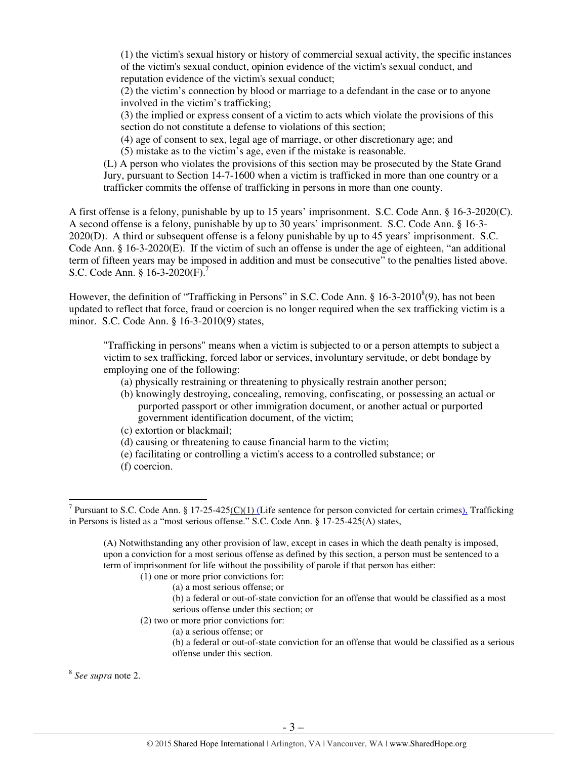(1) the victim's sexual history or history of commercial sexual activity, the specific instances of the victim's sexual conduct, opinion evidence of the victim's sexual conduct, and reputation evidence of the victim's sexual conduct;

(2) the victim's connection by blood or marriage to a defendant in the case or to anyone involved in the victim's trafficking;

(3) the implied or express consent of a victim to acts which violate the provisions of this section do not constitute a defense to violations of this section;

(4) age of consent to sex, legal age of marriage, or other discretionary age; and

(5) mistake as to the victim's age, even if the mistake is reasonable.

(L) A person who violates the provisions of this section may be prosecuted by the State Grand Jury, pursuant to Section 14-7-1600 when a victim is trafficked in more than one country or a trafficker commits the offense of trafficking in persons in more than one county.

A first offense is a felony, punishable by up to 15 years' imprisonment. S.C. Code Ann. § 16-3-2020(C). A second offense is a felony, punishable by up to 30 years' imprisonment. S.C. Code Ann. § 16-3- 2020(D). A third or subsequent offense is a felony punishable by up to 45 years' imprisonment. S.C. Code Ann. § 16-3-2020(E). If the victim of such an offense is under the age of eighteen, "an additional term of fifteen years may be imposed in addition and must be consecutive" to the penalties listed above. S.C. Code Ann. § 16-3-2020(F).<sup>7</sup>

However, the definition of "Trafficking in Persons" in S.C. Code Ann. §  $16-3-2010^8(9)$ , has not been updated to reflect that force, fraud or coercion is no longer required when the sex trafficking victim is a minor. S.C. Code Ann. § 16-3-2010(9) states,

"Trafficking in persons" means when a victim is subjected to or a person attempts to subject a victim to sex trafficking, forced labor or services, involuntary servitude, or debt bondage by employing one of the following:

- (a) physically restraining or threatening to physically restrain another person;
- (b) knowingly destroying, concealing, removing, confiscating, or possessing an actual or purported passport or other immigration document, or another actual or purported government identification document, of the victim;
- (c) extortion or blackmail;
- (d) causing or threatening to cause financial harm to the victim;
- (e) facilitating or controlling a victim's access to a controlled substance; or
- (f) coercion.

- 
- (2) two or more prior convictions for:
	- (a) a serious offense; or

8 *See supra* note 2.

<sup>&</sup>lt;sup>7</sup> Pursuant to S.C. Code Ann. § 17-25-425(C)(1) (Life sentence for person convicted for certain crimes). Trafficking in Persons is listed as a "most serious offense." S.C. Code Ann. § 17-25-425(A) states,

<sup>(</sup>A) Notwithstanding any other provision of law, except in cases in which the death penalty is imposed, upon a conviction for a most serious offense as defined by this section, a person must be sentenced to a term of imprisonment for life without the possibility of parole if that person has either:

 <sup>(1)</sup> one or more prior convictions for:

<sup>(</sup>a) a most serious offense; or (b) a federal or out-of-state conviction for an offense that would be classified as a most serious offense under this section; or

<sup>(</sup>b) a federal or out-of-state conviction for an offense that would be classified as a serious offense under this section.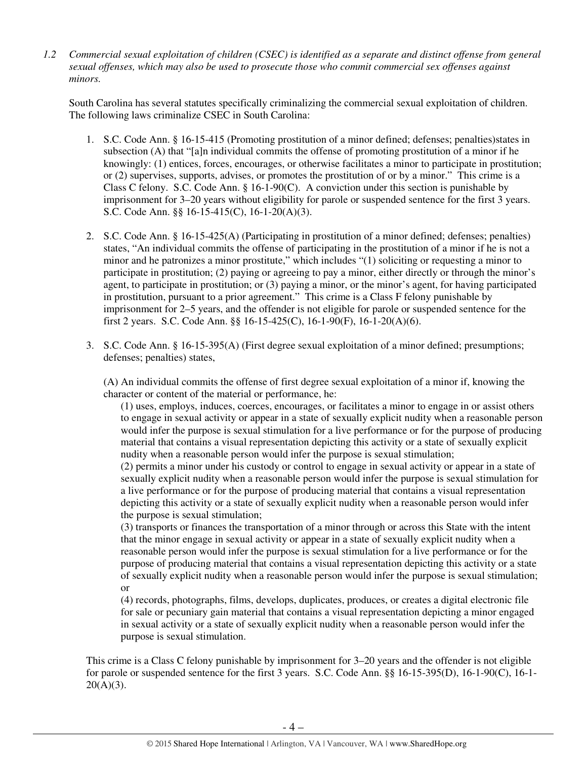*1.2 Commercial sexual exploitation of children (CSEC) is identified as a separate and distinct offense from general sexual offenses, which may also be used to prosecute those who commit commercial sex offenses against minors.*

South Carolina has several statutes specifically criminalizing the commercial sexual exploitation of children. The following laws criminalize CSEC in South Carolina:

- 1. S.C. Code Ann. § 16-15-415 (Promoting prostitution of a minor defined; defenses; penalties)states in subsection (A) that "[a]n individual commits the offense of promoting prostitution of a minor if he knowingly: (1) entices, forces, encourages, or otherwise facilitates a minor to participate in prostitution; or (2) supervises, supports, advises, or promotes the prostitution of or by a minor." This crime is a Class C felony. S.C. Code Ann.  $\S 16-1-90(C)$ . A conviction under this section is punishable by imprisonment for 3–20 years without eligibility for parole or suspended sentence for the first 3 years. S.C. Code Ann. §§ 16-15-415(C), 16-1-20(A)(3).
- 2. S.C. Code Ann. § 16-15-425(A) (Participating in prostitution of a minor defined; defenses; penalties) states, "An individual commits the offense of participating in the prostitution of a minor if he is not a minor and he patronizes a minor prostitute," which includes "(1) soliciting or requesting a minor to participate in prostitution; (2) paying or agreeing to pay a minor, either directly or through the minor's agent, to participate in prostitution; or (3) paying a minor, or the minor's agent, for having participated in prostitution, pursuant to a prior agreement." This crime is a Class F felony punishable by imprisonment for 2–5 years, and the offender is not eligible for parole or suspended sentence for the first 2 years. S.C. Code Ann. §§ 16-15-425(C), 16-1-90(F), 16-1-20(A)(6).
- 3. S.C. Code Ann. § 16-15-395(A) (First degree sexual exploitation of a minor defined; presumptions; defenses; penalties) states,

(A) An individual commits the offense of first degree sexual exploitation of a minor if, knowing the character or content of the material or performance, he:

(1) uses, employs, induces, coerces, encourages, or facilitates a minor to engage in or assist others to engage in sexual activity or appear in a state of sexually explicit nudity when a reasonable person would infer the purpose is sexual stimulation for a live performance or for the purpose of producing material that contains a visual representation depicting this activity or a state of sexually explicit nudity when a reasonable person would infer the purpose is sexual stimulation;

(2) permits a minor under his custody or control to engage in sexual activity or appear in a state of sexually explicit nudity when a reasonable person would infer the purpose is sexual stimulation for a live performance or for the purpose of producing material that contains a visual representation depicting this activity or a state of sexually explicit nudity when a reasonable person would infer the purpose is sexual stimulation;

(3) transports or finances the transportation of a minor through or across this State with the intent that the minor engage in sexual activity or appear in a state of sexually explicit nudity when a reasonable person would infer the purpose is sexual stimulation for a live performance or for the purpose of producing material that contains a visual representation depicting this activity or a state of sexually explicit nudity when a reasonable person would infer the purpose is sexual stimulation; or

(4) records, photographs, films, develops, duplicates, produces, or creates a digital electronic file for sale or pecuniary gain material that contains a visual representation depicting a minor engaged in sexual activity or a state of sexually explicit nudity when a reasonable person would infer the purpose is sexual stimulation.

This crime is a Class C felony punishable by imprisonment for 3–20 years and the offender is not eligible for parole or suspended sentence for the first 3 years. S.C. Code Ann. §§ 16-15-395(D), 16-1-90(C), 16-1-  $20(A)(3)$ .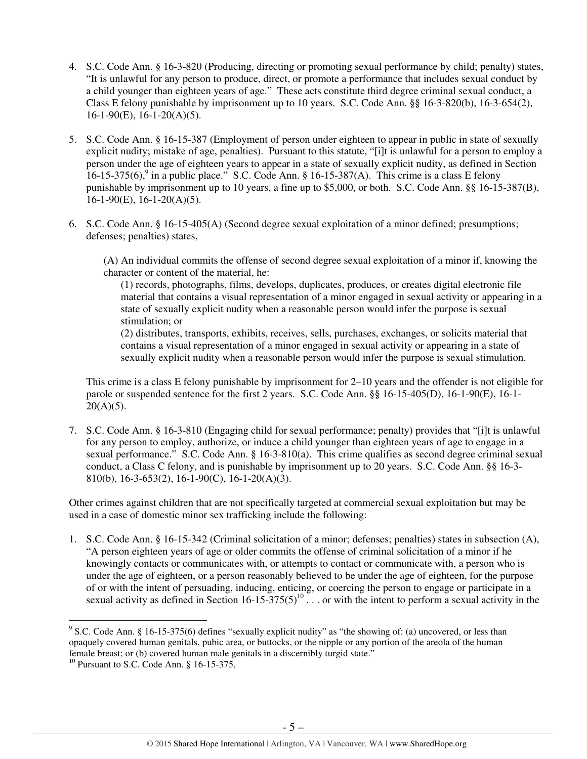- 4. S.C. Code Ann. § 16-3-820 (Producing, directing or promoting sexual performance by child; penalty) states, "It is unlawful for any person to produce, direct, or promote a performance that includes sexual conduct by a child younger than eighteen years of age." These acts constitute third degree criminal sexual conduct, a Class E felony punishable by imprisonment up to 10 years. S.C. Code Ann. §§ 16-3-820(b), 16-3-654(2),  $16-1-90(E)$ ,  $16-1-20(A)(5)$ .
- 5. S.C. Code Ann. § 16-15-387 (Employment of person under eighteen to appear in public in state of sexually explicit nudity; mistake of age, penalties). Pursuant to this statute, "[i]t is unlawful for a person to employ a person under the age of eighteen years to appear in a state of sexually explicit nudity, as defined in Section  $16-15-375(6)$ ,<sup>9</sup> in a public place." S.C. Code Ann. § 16-15-387(A). This crime is a class E felony punishable by imprisonment up to 10 years, a fine up to \$5,000, or both. S.C. Code Ann. §§ 16-15-387(B),  $16-1-90(E)$ ,  $16-1-20(A)(5)$ .
- 6. S.C. Code Ann. § 16-15-405(A) (Second degree sexual exploitation of a minor defined; presumptions; defenses; penalties) states,

(A) An individual commits the offense of second degree sexual exploitation of a minor if, knowing the character or content of the material, he:

(1) records, photographs, films, develops, duplicates, produces, or creates digital electronic file material that contains a visual representation of a minor engaged in sexual activity or appearing in a state of sexually explicit nudity when a reasonable person would infer the purpose is sexual stimulation; or

(2) distributes, transports, exhibits, receives, sells, purchases, exchanges, or solicits material that contains a visual representation of a minor engaged in sexual activity or appearing in a state of sexually explicit nudity when a reasonable person would infer the purpose is sexual stimulation.

This crime is a class E felony punishable by imprisonment for 2–10 years and the offender is not eligible for parole or suspended sentence for the first 2 years. S.C. Code Ann. §§ 16-15-405(D), 16-1-90(E), 16-1-  $20(A)(5)$ .

7. S.C. Code Ann. § 16-3-810 (Engaging child for sexual performance; penalty) provides that "[i]t is unlawful for any person to employ, authorize, or induce a child younger than eighteen years of age to engage in a sexual performance." S.C. Code Ann. § 16-3-810(a). This crime qualifies as second degree criminal sexual conduct, a Class C felony, and is punishable by imprisonment up to 20 years. S.C. Code Ann. §§ 16-3- 810(b), 16-3-653(2), 16-1-90(C), 16-1-20(A)(3).

Other crimes against children that are not specifically targeted at commercial sexual exploitation but may be used in a case of domestic minor sex trafficking include the following:

1. S.C. Code Ann. § 16-15-342 (Criminal solicitation of a minor; defenses; penalties) states in subsection (A), "A person eighteen years of age or older commits the offense of criminal solicitation of a minor if he knowingly contacts or communicates with, or attempts to contact or communicate with, a person who is under the age of eighteen, or a person reasonably believed to be under the age of eighteen, for the purpose of or with the intent of persuading, inducing, enticing, or coercing the person to engage or participate in a sexual activity as defined in Section 16-15-375(5)<sup>10</sup>  $\ldots$  or with the intent to perform a sexual activity in the

<sup>&</sup>lt;sup>9</sup> S.C. Code Ann. § 16-15-375(6) defines "sexually explicit nudity" as "the showing of: (a) uncovered, or less than opaquely covered human genitals, pubic area, or buttocks, or the nipple or any portion of the areola of the human female breast; or (b) covered human male genitals in a discernibly turgid state."

<sup>&</sup>lt;sup>10</sup> Pursuant to S.C. Code Ann. § 16-15-375,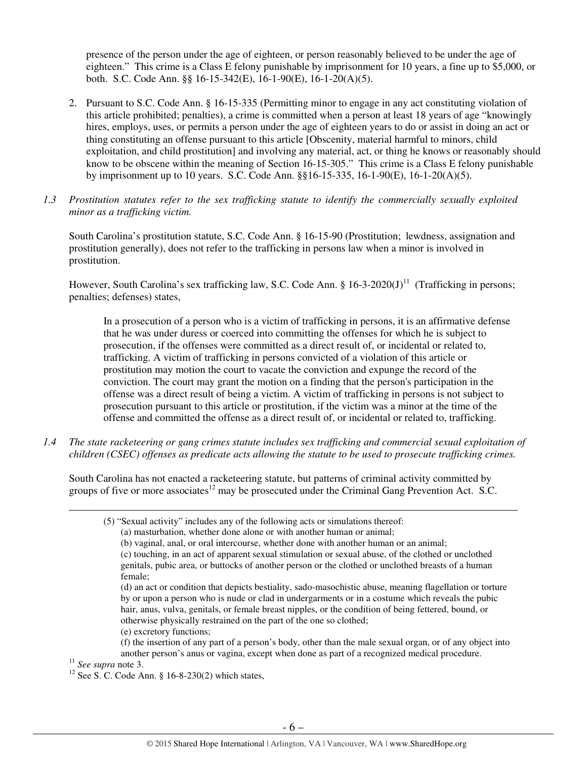presence of the person under the age of eighteen, or person reasonably believed to be under the age of eighteen." This crime is a Class E felony punishable by imprisonment for 10 years, a fine up to \$5,000, or both. S.C. Code Ann. §§ 16-15-342(E), 16-1-90(E), 16-1-20(A)(5).

- 2. Pursuant to S.C. Code Ann. § 16-15-335 (Permitting minor to engage in any act constituting violation of this article prohibited; penalties), a crime is committed when a person at least 18 years of age "knowingly hires, employs, uses, or permits a person under the age of eighteen years to do or assist in doing an act or thing constituting an offense pursuant to this article [Obscenity, material harmful to minors, child exploitation, and child prostitution] and involving any material, act, or thing he knows or reasonably should know to be obscene within the meaning of Section 16-15-305." This crime is a Class E felony punishable by imprisonment up to 10 years. S.C. Code Ann. §§16-15-335, 16-1-90(E), 16-1-20(A)(5).
- *1.3 Prostitution statutes refer to the sex trafficking statute to identify the commercially sexually exploited minor as a trafficking victim.*

South Carolina's prostitution statute, S.C. Code Ann. § 16-15-90 (Prostitution; lewdness, assignation and prostitution generally), does not refer to the trafficking in persons law when a minor is involved in prostitution.

However, South Carolina's sex trafficking law, S.C. Code Ann. §  $16-3-2020(J)^{11}$  (Trafficking in persons; penalties; defenses) states,

In a prosecution of a person who is a victim of trafficking in persons, it is an affirmative defense that he was under duress or coerced into committing the offenses for which he is subject to prosecution, if the offenses were committed as a direct result of, or incidental or related to, trafficking. A victim of trafficking in persons convicted of a violation of this article or prostitution may motion the court to vacate the conviction and expunge the record of the conviction. The court may grant the motion on a finding that the person's participation in the offense was a direct result of being a victim. A victim of trafficking in persons is not subject to prosecution pursuant to this article or prostitution, if the victim was a minor at the time of the offense and committed the offense as a direct result of, or incidental or related to, trafficking.

*1.4 The state racketeering or gang crimes statute includes sex trafficking and commercial sexual exploitation of children (CSEC) offenses as predicate acts allowing the statute to be used to prosecute trafficking crimes.* 

South Carolina has not enacted a racketeering statute, but patterns of criminal activity committed by groups of five or more associates<sup>12</sup> may be prosecuted under the Criminal Gang Prevention Act. S.C.

- (5) "Sexual activity" includes any of the following acts or simulations thereof:
	- (a) masturbation, whether done alone or with another human or animal;
	- (b) vaginal, anal, or oral intercourse, whether done with another human or an animal;
	- (c) touching, in an act of apparent sexual stimulation or sexual abuse, of the clothed or unclothed genitals, pubic area, or buttocks of another person or the clothed or unclothed breasts of a human female;

(d) an act or condition that depicts bestiality, sado-masochistic abuse, meaning flagellation or torture by or upon a person who is nude or clad in undergarments or in a costume which reveals the pubic hair, anus, vulva, genitals, or female breast nipples, or the condition of being fettered, bound, or otherwise physically restrained on the part of the one so clothed;

(e) excretory functions;

(f) the insertion of any part of a person's body, other than the male sexual organ, or of any object into another person's anus or vagina, except when done as part of a recognized medical procedure.

<sup>11</sup> *See supra* note 3.

 $\overline{a}$ 

<sup>12</sup> See S.C. Code Ann. § 16-8-230(2) which states,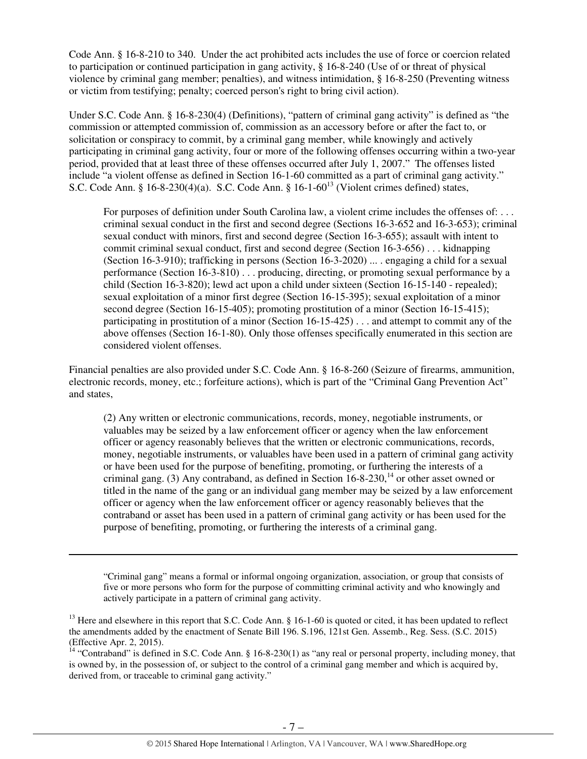Code Ann. § 16-8-210 to 340. Under the act prohibited acts includes the use of force or coercion related to participation or continued participation in gang activity, § 16-8-240 (Use of or threat of physical violence by criminal gang member; penalties), and witness intimidation, § 16-8-250 (Preventing witness or victim from testifying; penalty; coerced person's right to bring civil action).

Under S.C. Code Ann. § 16-8-230(4) (Definitions), "pattern of criminal gang activity" is defined as "the commission or attempted commission of, commission as an accessory before or after the fact to, or solicitation or conspiracy to commit, by a criminal gang member, while knowingly and actively participating in criminal gang activity, four or more of the following offenses occurring within a two-year period, provided that at least three of these offenses occurred after July 1, 2007." The offenses listed include "a violent offense as defined in Section 16-1-60 committed as a part of criminal gang activity." S.C. Code Ann. §  $16-8-230(4)(a)$ . S.C. Code Ann. §  $16-1-60^{13}$  (Violent crimes defined) states,

For purposes of definition under South Carolina law, a violent crime includes the offenses of: ... criminal sexual conduct in the first and second degree (Sections 16-3-652 and 16-3-653); criminal sexual conduct with minors, first and second degree (Section 16-3-655); assault with intent to commit criminal sexual conduct, first and second degree (Section 16-3-656) . . . kidnapping (Section 16-3-910); trafficking in persons (Section 16-3-2020) ... . engaging a child for a sexual performance (Section 16-3-810) . . . producing, directing, or promoting sexual performance by a child (Section 16-3-820); lewd act upon a child under sixteen (Section 16-15-140 - repealed); sexual exploitation of a minor first degree (Section 16-15-395); sexual exploitation of a minor second degree (Section 16-15-405); promoting prostitution of a minor (Section 16-15-415); participating in prostitution of a minor (Section 16-15-425) . . . and attempt to commit any of the above offenses (Section 16-1-80). Only those offenses specifically enumerated in this section are considered violent offenses.

Financial penalties are also provided under S.C. Code Ann. § 16-8-260 (Seizure of firearms, ammunition, electronic records, money, etc.; forfeiture actions), which is part of the "Criminal Gang Prevention Act" and states,

(2) Any written or electronic communications, records, money, negotiable instruments, or valuables may be seized by a law enforcement officer or agency when the law enforcement officer or agency reasonably believes that the written or electronic communications, records, money, negotiable instruments, or valuables have been used in a pattern of criminal gang activity or have been used for the purpose of benefiting, promoting, or furthering the interests of a criminal gang. (3) Any contraband, as defined in Section  $16-8-230$ ,  $14$  or other asset owned or titled in the name of the gang or an individual gang member may be seized by a law enforcement officer or agency when the law enforcement officer or agency reasonably believes that the contraband or asset has been used in a pattern of criminal gang activity or has been used for the purpose of benefiting, promoting, or furthering the interests of a criminal gang.

"Criminal gang" means a formal or informal ongoing organization, association, or group that consists of five or more persons who form for the purpose of committing criminal activity and who knowingly and actively participate in a pattern of criminal gang activity.

l

<sup>14</sup> "Contraband" is defined in S.C. Code Ann. § 16-8-230(1) as "any real or personal property, including money, that is owned by, in the possession of, or subject to the control of a criminal gang member and which is acquired by, derived from, or traceable to criminal gang activity."

<sup>&</sup>lt;sup>13</sup> Here and elsewhere in this report that S.C. Code Ann. § 16-1-60 is quoted or cited, it has been updated to reflect the amendments added by the enactment of Senate Bill 196. S.196, 121st Gen. Assemb., Reg. Sess. (S.C. 2015) (Effective Apr. 2, 2015).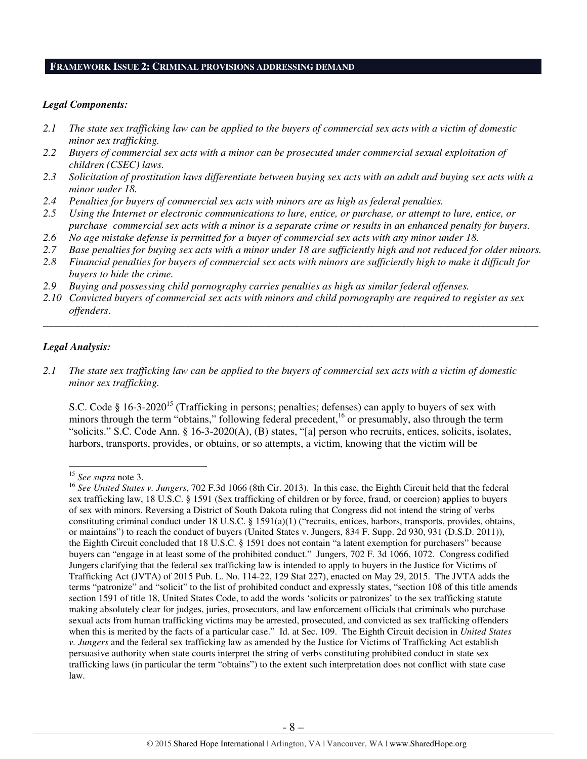### **FRAMEWORK ISSUE 2: CRIMINAL PROVISIONS ADDRESSING DEMAND**

#### *Legal Components:*

- *2.1 The state sex trafficking law can be applied to the buyers of commercial sex acts with a victim of domestic minor sex trafficking.*
- *2.2 Buyers of commercial sex acts with a minor can be prosecuted under commercial sexual exploitation of children (CSEC) laws.*
- *2.3 Solicitation of prostitution laws differentiate between buying sex acts with an adult and buying sex acts with a minor under 18.*
- *2.4 Penalties for buyers of commercial sex acts with minors are as high as federal penalties.*
- *2.5 Using the Internet or electronic communications to lure, entice, or purchase, or attempt to lure, entice, or purchase commercial sex acts with a minor is a separate crime or results in an enhanced penalty for buyers.*
- *2.6 No age mistake defense is permitted for a buyer of commercial sex acts with any minor under 18.*
- *2.7 Base penalties for buying sex acts with a minor under 18 are sufficiently high and not reduced for older minors.*
- *2.8 Financial penalties for buyers of commercial sex acts with minors are sufficiently high to make it difficult for buyers to hide the crime.*
- *2.9 Buying and possessing child pornography carries penalties as high as similar federal offenses.*
- *2.10 Convicted buyers of commercial sex acts with minors and child pornography are required to register as sex offenders*.

\_\_\_\_\_\_\_\_\_\_\_\_\_\_\_\_\_\_\_\_\_\_\_\_\_\_\_\_\_\_\_\_\_\_\_\_\_\_\_\_\_\_\_\_\_\_\_\_\_\_\_\_\_\_\_\_\_\_\_\_\_\_\_\_\_\_\_\_\_\_\_\_\_\_\_\_\_\_\_\_\_\_\_\_\_\_\_\_\_\_\_\_\_\_

## *Legal Analysis:*

 $\overline{a}$ 

*2.1 The state sex trafficking law can be applied to the buyers of commercial sex acts with a victim of domestic minor sex trafficking.* 

S.C. Code § 16-3-2020<sup>15</sup> (Trafficking in persons; penalties; defenses) can apply to buyers of sex with minors through the term "obtains," following federal precedent,<sup>16</sup> or presumably, also through the term "solicits." S.C. Code Ann. § 16-3-2020(A), (B) states, "[a] person who recruits, entices, solicits, isolates, harbors, transports, provides, or obtains, or so attempts, a victim, knowing that the victim will be

<sup>15</sup> *See supra* note 3.

<sup>16</sup> *See United States v. Jungers*, 702 F.3d 1066 (8th Cir. 2013). In this case, the Eighth Circuit held that the federal sex trafficking law, 18 U.S.C. § 1591 (Sex trafficking of children or by force, fraud, or coercion) applies to buyers of sex with minors. Reversing a District of South Dakota ruling that Congress did not intend the string of verbs constituting criminal conduct under 18 U.S.C. § 1591(a)(1) ("recruits, entices, harbors, transports, provides, obtains, or maintains") to reach the conduct of buyers (United States v. Jungers, 834 F. Supp. 2d 930, 931 (D.S.D. 2011)), the Eighth Circuit concluded that 18 U.S.C. § 1591 does not contain "a latent exemption for purchasers" because buyers can "engage in at least some of the prohibited conduct." Jungers, 702 F. 3d 1066, 1072. Congress codified Jungers clarifying that the federal sex trafficking law is intended to apply to buyers in the Justice for Victims of Trafficking Act (JVTA) of 2015 Pub. L. No. 114-22, 129 Stat 227), enacted on May 29, 2015. The JVTA adds the terms "patronize" and "solicit" to the list of prohibited conduct and expressly states, "section 108 of this title amends section 1591 of title 18, United States Code, to add the words 'solicits or patronizes' to the sex trafficking statute making absolutely clear for judges, juries, prosecutors, and law enforcement officials that criminals who purchase sexual acts from human trafficking victims may be arrested, prosecuted, and convicted as sex trafficking offenders when this is merited by the facts of a particular case." Id. at Sec. 109. The Eighth Circuit decision in *United States v. Jungers* and the federal sex trafficking law as amended by the Justice for Victims of Trafficking Act establish persuasive authority when state courts interpret the string of verbs constituting prohibited conduct in state sex trafficking laws (in particular the term "obtains") to the extent such interpretation does not conflict with state case law.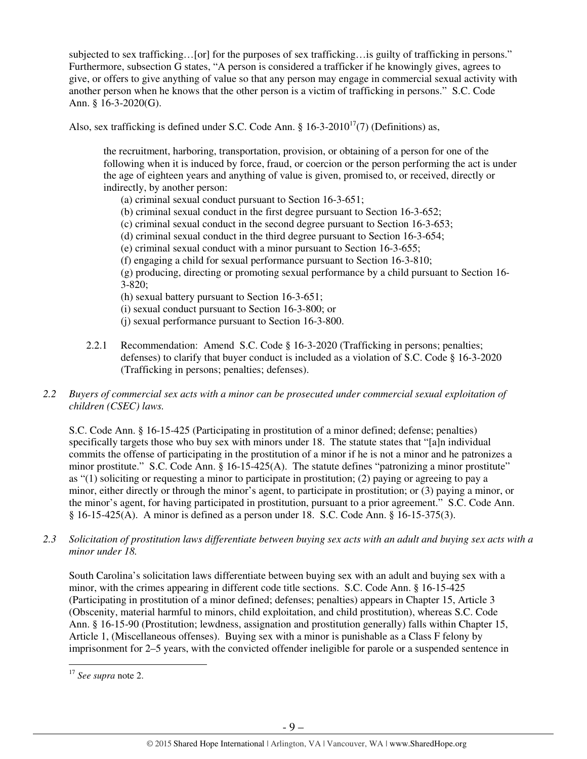subjected to sex trafficking…[or] for the purposes of sex trafficking…is guilty of trafficking in persons." Furthermore, subsection G states, "A person is considered a trafficker if he knowingly gives, agrees to give, or offers to give anything of value so that any person may engage in commercial sexual activity with another person when he knows that the other person is a victim of trafficking in persons." S.C. Code Ann. § 16-3-2020(G).

Also, sex trafficking is defined under S.C. Code Ann. §  $16-3-2010^{17}(7)$  (Definitions) as,

the recruitment, harboring, transportation, provision, or obtaining of a person for one of the following when it is induced by force, fraud, or coercion or the person performing the act is under the age of eighteen years and anything of value is given, promised to, or received, directly or indirectly, by another person:

- (a) criminal sexual conduct pursuant to Section 16-3-651;
- (b) criminal sexual conduct in the first degree pursuant to Section 16-3-652;
- (c) criminal sexual conduct in the second degree pursuant to Section 16-3-653;
- (d) criminal sexual conduct in the third degree pursuant to Section 16-3-654;
- (e) criminal sexual conduct with a minor pursuant to Section 16-3-655;
- (f) engaging a child for sexual performance pursuant to Section 16-3-810;

(g) producing, directing or promoting sexual performance by a child pursuant to Section 16- 3-820;

- (h) sexual battery pursuant to Section 16-3-651;
- (i) sexual conduct pursuant to Section 16-3-800; or
- (j) sexual performance pursuant to Section 16-3-800.
- 2.2.1 Recommendation: Amend S.C. Code § 16-3-2020 (Trafficking in persons; penalties; defenses) to clarify that buyer conduct is included as a violation of S.C. Code § 16-3-2020 (Trafficking in persons; penalties; defenses).
- *2.2 Buyers of commercial sex acts with a minor can be prosecuted under commercial sexual exploitation of children (CSEC) laws.*

S.C. Code Ann. § 16-15-425 (Participating in prostitution of a minor defined; defense; penalties) specifically targets those who buy sex with minors under 18. The statute states that "[a]n individual commits the offense of participating in the prostitution of a minor if he is not a minor and he patronizes a minor prostitute." S.C. Code Ann. § 16-15-425(A). The statute defines "patronizing a minor prostitute" as "(1) soliciting or requesting a minor to participate in prostitution; (2) paying or agreeing to pay a minor, either directly or through the minor's agent, to participate in prostitution; or (3) paying a minor, or the minor's agent, for having participated in prostitution, pursuant to a prior agreement." S.C. Code Ann. § 16-15-425(A). A minor is defined as a person under 18. S.C. Code Ann. § 16-15-375(3).

*2.3 Solicitation of prostitution laws differentiate between buying sex acts with an adult and buying sex acts with a minor under 18.* 

South Carolina's solicitation laws differentiate between buying sex with an adult and buying sex with a minor, with the crimes appearing in different code title sections. S.C. Code Ann. § 16-15-425 (Participating in prostitution of a minor defined; defenses; penalties) appears in Chapter 15, Article 3 (Obscenity, material harmful to minors, child exploitation, and child prostitution), whereas S.C. Code Ann. § 16-15-90 (Prostitution; lewdness, assignation and prostitution generally) falls within Chapter 15, Article 1, (Miscellaneous offenses). Buying sex with a minor is punishable as a Class F felony by imprisonment for 2–5 years, with the convicted offender ineligible for parole or a suspended sentence in

<sup>17</sup> *See supra* note 2.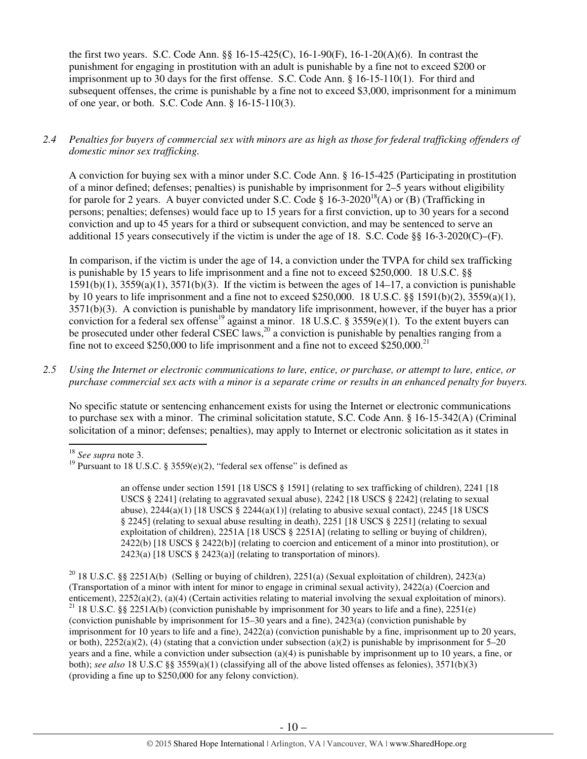the first two years. S.C. Code Ann. §§ 16-15-425(C), 16-1-90(F), 16-1-20(A)(6). In contrast the punishment for engaging in prostitution with an adult is punishable by a fine not to exceed \$200 or imprisonment up to 30 days for the first offense. S.C. Code Ann. § 16-15-110(1). For third and subsequent offenses, the crime is punishable by a fine not to exceed \$3,000, imprisonment for a minimum of one year, or both. S.C. Code Ann. § 16-15-110(3).

# *2.4 Penalties for buyers of commercial sex with minors are as high as those for federal trafficking offenders of domestic minor sex trafficking.*

A conviction for buying sex with a minor under S.C. Code Ann. § 16-15-425 (Participating in prostitution of a minor defined; defenses; penalties) is punishable by imprisonment for 2–5 years without eligibility for parole for 2 years. A buyer convicted under S.C. Code §  $16{\text -}3{\text -}2020^{18}$ (A) or (B) (Trafficking in persons; penalties; defenses) would face up to 15 years for a first conviction, up to 30 years for a second conviction and up to 45 years for a third or subsequent conviction, and may be sentenced to serve an additional 15 years consecutively if the victim is under the age of 18. S.C. Code §§ 16-3-2020(C)–(F).

In comparison, if the victim is under the age of 14, a conviction under the TVPA for child sex trafficking is punishable by 15 years to life imprisonment and a fine not to exceed \$250,000. 18 U.S.C. §§  $1591(b)(1)$ ,  $3559(a)(1)$ ,  $3571(b)(3)$ . If the victim is between the ages of  $14-17$ , a conviction is punishable by 10 years to life imprisonment and a fine not to exceed \$250,000. 18 U.S.C. §§ 1591(b)(2), 3559(a)(1), 3571(b)(3). A conviction is punishable by mandatory life imprisonment, however, if the buyer has a prior conviction for a federal sex offense<sup>19</sup> against a minor. 18 U.S.C. § 3559(e)(1). To the extent buyers can be prosecuted under other federal CSEC laws,<sup>20</sup> a conviction is punishable by penalties ranging from a fine not to exceed \$250,000 to life imprisonment and a fine not to exceed \$250,000.<sup>21</sup>

*2.5 Using the Internet or electronic communications to lure, entice, or purchase, or attempt to lure, entice, or purchase commercial sex acts with a minor is a separate crime or results in an enhanced penalty for buyers.* 

No specific statute or sentencing enhancement exists for using the Internet or electronic communications to purchase sex with a minor. The criminal solicitation statute, S.C. Code Ann. § 16-15-342(A) (Criminal solicitation of a minor; defenses; penalties), may apply to Internet or electronic solicitation as it states in l

<sup>20</sup> 18 U.S.C. §§ 2251A(b) (Selling or buying of children), 2251(a) (Sexual exploitation of children), 2423(a) (Transportation of a minor with intent for minor to engage in criminal sexual activity), 2422(a) (Coercion and enticement), 2252(a)(2), (a)(4) (Certain activities relating to material involving the sexual exploitation of minors). <sup>21</sup> 18 U.S.C. §§ 2251A(b) (conviction punishable by imprisonment for 30 years to life and a fine), 2251(e) (conviction punishable by imprisonment for 15–30 years and a fine), 2423(a) (conviction punishable by imprisonment for 10 years to life and a fine), 2422(a) (conviction punishable by a fine, imprisonment up to 20 years, or both),  $2252(a)(2)$ , (4) (stating that a conviction under subsection (a)(2) is punishable by imprisonment for 5–20 years and a fine, while a conviction under subsection (a)(4) is punishable by imprisonment up to 10 years, a fine, or both); *see also* 18 U.S.C §§ 3559(a)(1) (classifying all of the above listed offenses as felonies), 3571(b)(3) (providing a fine up to \$250,000 for any felony conviction).

<sup>18</sup> *See supra* note 3.

<sup>&</sup>lt;sup>19</sup> Pursuant to 18 U.S.C. § 3559(e)(2), "federal sex offense" is defined as

an offense under section 1591 [18 USCS § 1591] (relating to sex trafficking of children), 2241 [18 USCS § 2241] (relating to aggravated sexual abuse), 2242 [18 USCS § 2242] (relating to sexual abuse),  $2244(a)(1)$  [18 USCS §  $2244(a)(1)$ ] (relating to abusive sexual contact),  $2245$  [18 USCS § 2245] (relating to sexual abuse resulting in death), 2251 [18 USCS § 2251] (relating to sexual exploitation of children), 2251A [18 USCS § 2251A] (relating to selling or buying of children), 2422(b) [18 USCS § 2422(b)] (relating to coercion and enticement of a minor into prostitution), or 2423(a) [18 USCS  $\S$  2423(a)] (relating to transportation of minors).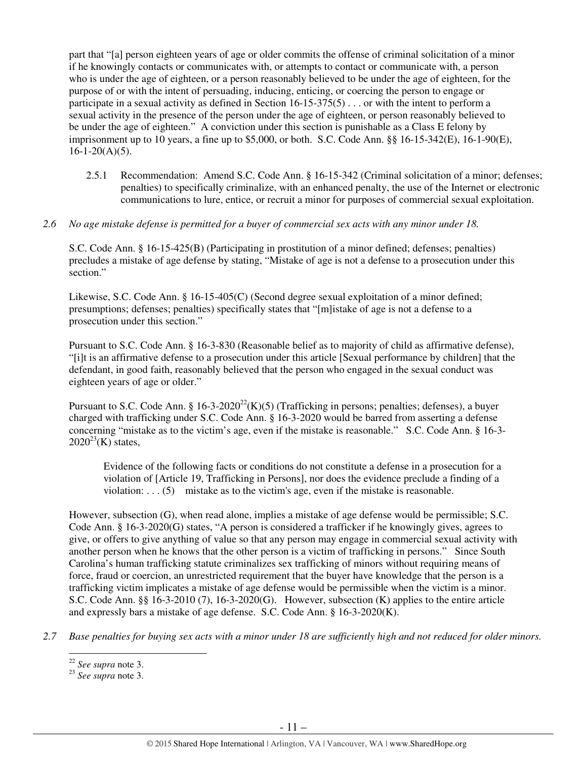part that "[a] person eighteen years of age or older commits the offense of criminal solicitation of a minor if he knowingly contacts or communicates with, or attempts to contact or communicate with, a person who is under the age of eighteen, or a person reasonably believed to be under the age of eighteen, for the purpose of or with the intent of persuading, inducing, enticing, or coercing the person to engage or participate in a sexual activity as defined in Section 16-15-375(5) . . . or with the intent to perform a sexual activity in the presence of the person under the age of eighteen, or person reasonably believed to be under the age of eighteen." A conviction under this section is punishable as a Class E felony by imprisonment up to 10 years, a fine up to \$5,000, or both. S.C. Code Ann. §§ 16-15-342(E), 16-1-90(E),  $16-1-20(A)(5)$ .

- 2.5.1 Recommendation: Amend S.C. Code Ann. § 16-15-342 (Criminal solicitation of a minor; defenses; penalties) to specifically criminalize, with an enhanced penalty, the use of the Internet or electronic communications to lure, entice, or recruit a minor for purposes of commercial sexual exploitation.
- *2.6 No age mistake defense is permitted for a buyer of commercial sex acts with any minor under 18.*

S.C. Code Ann. § 16-15-425(B) (Participating in prostitution of a minor defined; defenses; penalties) precludes a mistake of age defense by stating, "Mistake of age is not a defense to a prosecution under this section."

Likewise, S.C. Code Ann. § 16-15-405(C) (Second degree sexual exploitation of a minor defined; presumptions; defenses; penalties) specifically states that "[m]istake of age is not a defense to a prosecution under this section."

Pursuant to S.C. Code Ann. § 16-3-830 (Reasonable belief as to majority of child as affirmative defense), "[i]t is an affirmative defense to a prosecution under this article [Sexual performance by children] that the defendant, in good faith, reasonably believed that the person who engaged in the sexual conduct was eighteen years of age or older."

Pursuant to S.C. Code Ann. §  $16-3-2020^{22}$ (K)(5) (Trafficking in persons; penalties; defenses), a buyer charged with trafficking under S.C. Code Ann. § 16-3-2020 would be barred from asserting a defense concerning "mistake as to the victim's age, even if the mistake is reasonable." S.C. Code Ann. § 16-3-  $2020^{23}$ (K) states,

Evidence of the following facts or conditions do not constitute a defense in a prosecution for a violation of [Article 19, Trafficking in Persons], nor does the evidence preclude a finding of a violation:  $\dots$  (5) mistake as to the victim's age, even if the mistake is reasonable.

However, subsection (G), when read alone, implies a mistake of age defense would be permissible; S.C. Code Ann. § 16-3-2020(G) states, "A person is considered a trafficker if he knowingly gives, agrees to give, or offers to give anything of value so that any person may engage in commercial sexual activity with another person when he knows that the other person is a victim of trafficking in persons." Since South Carolina's human trafficking statute criminalizes sex trafficking of minors without requiring means of force, fraud or coercion, an unrestricted requirement that the buyer have knowledge that the person is a trafficking victim implicates a mistake of age defense would be permissible when the victim is a minor. S.C. Code Ann. §§ 16-3-2010 (7), 16-3-2020(G). However, subsection (K) applies to the entire article and expressly bars a mistake of age defense. S.C. Code Ann. § 16-3-2020(K).

*2.7 Base penalties for buying sex acts with a minor under 18 are sufficiently high and not reduced for older minors.* 

<sup>22</sup> *See supra* note 3.

<sup>23</sup> *See supra* note 3.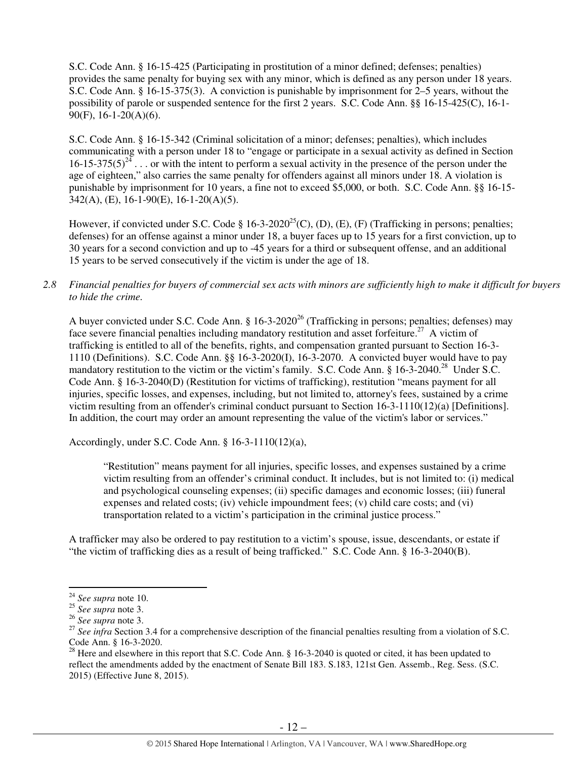S.C. Code Ann. § 16-15-425 (Participating in prostitution of a minor defined; defenses; penalties) provides the same penalty for buying sex with any minor, which is defined as any person under 18 years. S.C. Code Ann. § 16-15-375(3). A conviction is punishable by imprisonment for 2–5 years, without the possibility of parole or suspended sentence for the first 2 years. S.C. Code Ann. §§ 16-15-425(C), 16-1- 90(F), 16-1-20(A)(6).

S.C. Code Ann. § 16-15-342 (Criminal solicitation of a minor; defenses; penalties), which includes communicating with a person under 18 to "engage or participate in a sexual activity as defined in Section  $16$ -15-375(5)<sup>24</sup>... or with the intent to perform a sexual activity in the presence of the person under the age of eighteen," also carries the same penalty for offenders against all minors under 18. A violation is punishable by imprisonment for 10 years, a fine not to exceed \$5,000, or both. S.C. Code Ann. §§ 16-15- 342(A), (E), 16-1-90(E), 16-1-20(A)(5).

However, if convicted under S.C. Code § 16-3-2020<sup>25</sup>(C), (D), (E), (F) (Trafficking in persons; penalties; defenses) for an offense against a minor under 18, a buyer faces up to 15 years for a first conviction, up to 30 years for a second conviction and up to -45 years for a third or subsequent offense, and an additional 15 years to be served consecutively if the victim is under the age of 18.

## *2.8 Financial penalties for buyers of commercial sex acts with minors are sufficiently high to make it difficult for buyers to hide the crime.*

A buyer convicted under S.C. Code Ann. § 16-3-2020<sup>26</sup> (Trafficking in persons; penalties; defenses) may face severe financial penalties including mandatory restitution and asset forfeiture.<sup>27</sup> A victim of trafficking is entitled to all of the benefits, rights, and compensation granted pursuant to Section 16-3- 1110 (Definitions). S.C. Code Ann. §§ 16-3-2020(I), 16-3-2070. A convicted buyer would have to pay mandatory restitution to the victim or the victim's family. S.C. Code Ann. § 16-3-2040.<sup>28</sup> Under S.C. Code Ann. § 16-3-2040(D) (Restitution for victims of trafficking), restitution "means payment for all injuries, specific losses, and expenses, including, but not limited to, attorney's fees, sustained by a crime victim resulting from an offender's criminal conduct pursuant to Section 16-3-1110(12)(a) [Definitions]. In addition, the court may order an amount representing the value of the victim's labor or services."

Accordingly, under S.C. Code Ann. § 16-3-1110(12)(a),

"Restitution" means payment for all injuries, specific losses, and expenses sustained by a crime victim resulting from an offender's criminal conduct. It includes, but is not limited to: (i) medical and psychological counseling expenses; (ii) specific damages and economic losses; (iii) funeral expenses and related costs; (iv) vehicle impoundment fees; (v) child care costs; and (vi) transportation related to a victim's participation in the criminal justice process."

A trafficker may also be ordered to pay restitution to a victim's spouse, issue, descendants, or estate if "the victim of trafficking dies as a result of being trafficked." S.C. Code Ann. § 16-3-2040(B).

<sup>24</sup> *See supra* note 10.

<sup>25</sup> *See supra* note 3.

<sup>26</sup> *See supra* note 3.

<sup>&</sup>lt;sup>27</sup> See infra Section 3.4 for a comprehensive description of the financial penalties resulting from a violation of S.C. Code Ann. § 16-3-2020.

<sup>&</sup>lt;sup>28</sup> Here and elsewhere in this report that S.C. Code Ann. § 16-3-2040 is quoted or cited, it has been updated to reflect the amendments added by the enactment of Senate Bill 183. S.183, 121st Gen. Assemb., Reg. Sess. (S.C. 2015) (Effective June 8, 2015).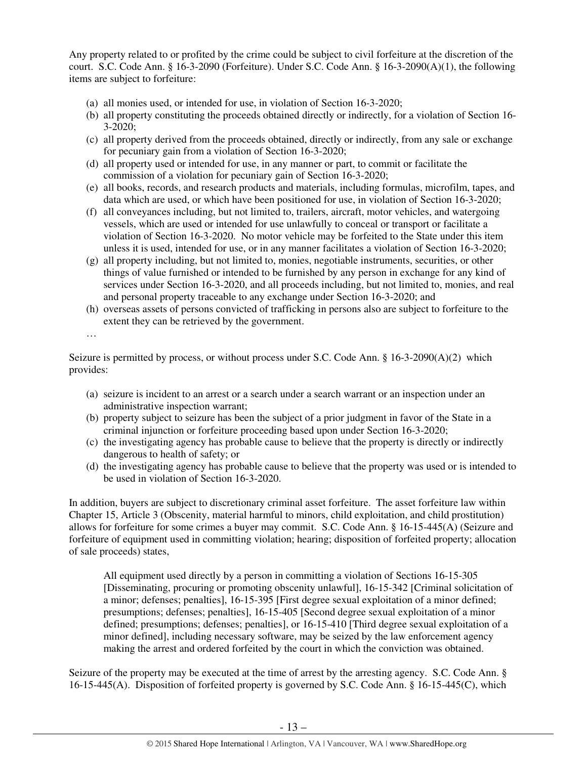Any property related to or profited by the crime could be subject to civil forfeiture at the discretion of the court. S.C. Code Ann. § 16-3-2090 (Forfeiture). Under S.C. Code Ann. § 16-3-2090(A)(1), the following items are subject to forfeiture:

- (a) all monies used, or intended for use, in violation of Section 16-3-2020;
- (b) all property constituting the proceeds obtained directly or indirectly, for a violation of Section 16- 3-2020;
- (c) all property derived from the proceeds obtained, directly or indirectly, from any sale or exchange for pecuniary gain from a violation of Section 16-3-2020;
- (d) all property used or intended for use, in any manner or part, to commit or facilitate the commission of a violation for pecuniary gain of Section 16-3-2020;
- (e) all books, records, and research products and materials, including formulas, microfilm, tapes, and data which are used, or which have been positioned for use, in violation of Section 16-3-2020;
- (f) all conveyances including, but not limited to, trailers, aircraft, motor vehicles, and watergoing vessels, which are used or intended for use unlawfully to conceal or transport or facilitate a violation of Section 16-3-2020. No motor vehicle may be forfeited to the State under this item unless it is used, intended for use, or in any manner facilitates a violation of Section 16-3-2020;
- (g) all property including, but not limited to, monies, negotiable instruments, securities, or other things of value furnished or intended to be furnished by any person in exchange for any kind of services under Section 16-3-2020, and all proceeds including, but not limited to, monies, and real and personal property traceable to any exchange under Section 16-3-2020; and
- (h) overseas assets of persons convicted of trafficking in persons also are subject to forfeiture to the extent they can be retrieved by the government.

…

Seizure is permitted by process, or without process under S.C. Code Ann. § 16-3-2090(A)(2) which provides:

- (a) seizure is incident to an arrest or a search under a search warrant or an inspection under an administrative inspection warrant;
- (b) property subject to seizure has been the subject of a prior judgment in favor of the State in a criminal injunction or forfeiture proceeding based upon under Section 16-3-2020;
- (c) the investigating agency has probable cause to believe that the property is directly or indirectly dangerous to health of safety; or
- (d) the investigating agency has probable cause to believe that the property was used or is intended to be used in violation of Section 16-3-2020.

In addition, buyers are subject to discretionary criminal asset forfeiture. The asset forfeiture law within Chapter 15, Article 3 (Obscenity, material harmful to minors, child exploitation, and child prostitution) allows for forfeiture for some crimes a buyer may commit. S.C. Code Ann. § 16-15-445(A) (Seizure and forfeiture of equipment used in committing violation; hearing; disposition of forfeited property; allocation of sale proceeds) states,

All equipment used directly by a person in committing a violation of Sections 16-15-305 [Disseminating, procuring or promoting obscenity unlawful], 16-15-342 [Criminal solicitation of a minor; defenses; penalties], 16-15-395 [First degree sexual exploitation of a minor defined; presumptions; defenses; penalties], 16-15-405 [Second degree sexual exploitation of a minor defined; presumptions; defenses; penalties], or 16-15-410 [Third degree sexual exploitation of a minor defined], including necessary software, may be seized by the law enforcement agency making the arrest and ordered forfeited by the court in which the conviction was obtained.

Seizure of the property may be executed at the time of arrest by the arresting agency. S.C. Code Ann. § 16-15-445(A). Disposition of forfeited property is governed by S.C. Code Ann. § 16-15-445(C), which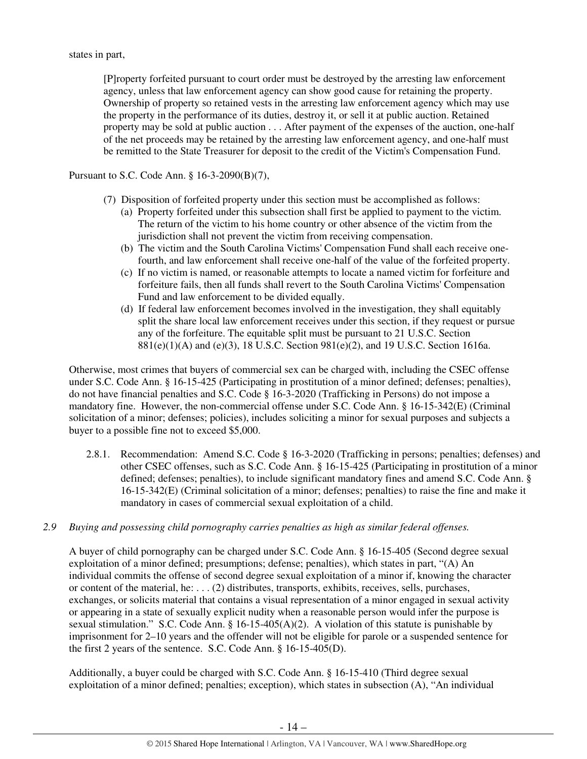[P]roperty forfeited pursuant to court order must be destroyed by the arresting law enforcement agency, unless that law enforcement agency can show good cause for retaining the property. Ownership of property so retained vests in the arresting law enforcement agency which may use the property in the performance of its duties, destroy it, or sell it at public auction. Retained property may be sold at public auction . . . After payment of the expenses of the auction, one-half of the net proceeds may be retained by the arresting law enforcement agency, and one-half must be remitted to the State Treasurer for deposit to the credit of the Victim's Compensation Fund.

## Pursuant to S.C. Code Ann. § 16-3-2090(B)(7),

- (7) Disposition of forfeited property under this section must be accomplished as follows:
	- (a) Property forfeited under this subsection shall first be applied to payment to the victim. The return of the victim to his home country or other absence of the victim from the jurisdiction shall not prevent the victim from receiving compensation.
	- (b) The victim and the South Carolina Victims' Compensation Fund shall each receive onefourth, and law enforcement shall receive one-half of the value of the forfeited property.
	- (c) If no victim is named, or reasonable attempts to locate a named victim for forfeiture and forfeiture fails, then all funds shall revert to the South Carolina Victims' Compensation Fund and law enforcement to be divided equally.
	- (d) If federal law enforcement becomes involved in the investigation, they shall equitably split the share local law enforcement receives under this section, if they request or pursue any of the forfeiture. The equitable split must be pursuant to 21 U.S.C. Section 881(e)(1)(A) and (e)(3), 18 U.S.C. Section 981(e)(2), and 19 U.S.C. Section 1616a.

Otherwise, most crimes that buyers of commercial sex can be charged with, including the CSEC offense under S.C. Code Ann. § 16-15-425 (Participating in prostitution of a minor defined; defenses; penalties), do not have financial penalties and S.C. Code § 16-3-2020 (Trafficking in Persons) do not impose a mandatory fine. However, the non-commercial offense under S.C. Code Ann. § 16-15-342(E) (Criminal solicitation of a minor; defenses; policies), includes soliciting a minor for sexual purposes and subjects a buyer to a possible fine not to exceed \$5,000.

- 2.8.1. Recommendation: Amend S.C. Code § 16-3-2020 (Trafficking in persons; penalties; defenses) and other CSEC offenses, such as S.C. Code Ann. § 16-15-425 (Participating in prostitution of a minor defined; defenses; penalties), to include significant mandatory fines and amend S.C. Code Ann. § 16-15-342(E) (Criminal solicitation of a minor; defenses; penalties) to raise the fine and make it mandatory in cases of commercial sexual exploitation of a child.
- *2.9 Buying and possessing child pornography carries penalties as high as similar federal offenses.*

A buyer of child pornography can be charged under S.C. Code Ann. § 16-15-405 (Second degree sexual exploitation of a minor defined; presumptions; defense; penalties), which states in part, "(A) An individual commits the offense of second degree sexual exploitation of a minor if, knowing the character or content of the material, he: . . . (2) distributes, transports, exhibits, receives, sells, purchases, exchanges, or solicits material that contains a visual representation of a minor engaged in sexual activity or appearing in a state of sexually explicit nudity when a reasonable person would infer the purpose is sexual stimulation." S.C. Code Ann. §  $16-15-405(A)(2)$ . A violation of this statute is punishable by imprisonment for 2–10 years and the offender will not be eligible for parole or a suspended sentence for the first 2 years of the sentence. S.C. Code Ann. § 16-15-405(D).

Additionally, a buyer could be charged with S.C. Code Ann. § 16-15-410 (Third degree sexual exploitation of a minor defined; penalties; exception), which states in subsection (A), "An individual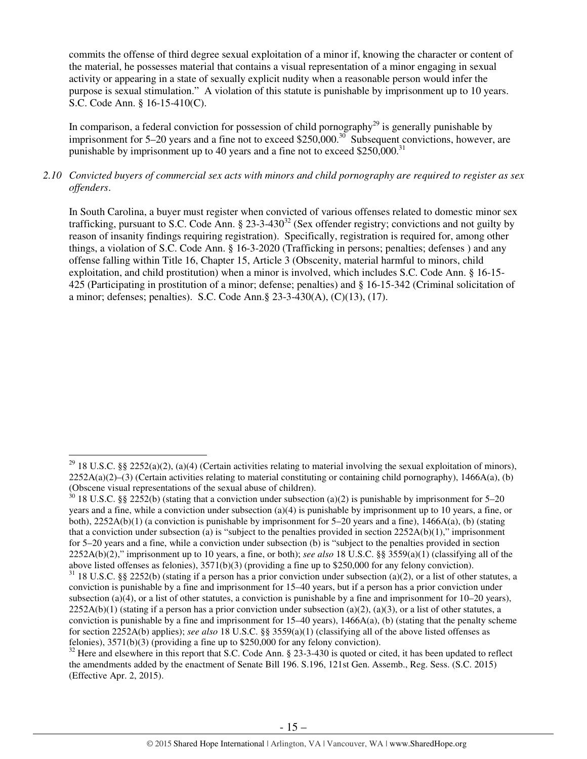commits the offense of third degree sexual exploitation of a minor if, knowing the character or content of the material, he possesses material that contains a visual representation of a minor engaging in sexual activity or appearing in a state of sexually explicit nudity when a reasonable person would infer the purpose is sexual stimulation." A violation of this statute is punishable by imprisonment up to 10 years. S.C. Code Ann. § 16-15-410(C).

In comparison, a federal conviction for possession of child pornography<sup>29</sup> is generally punishable by imprisonment for 5–20 years and a fine not to exceed \$250,000.<sup>30</sup> Subsequent convictions, however, are punishable by imprisonment up to 40 years and a fine not to exceed \$250,000.<sup>31</sup>

## *2.10 Convicted buyers of commercial sex acts with minors and child pornography are required to register as sex offenders*.

In South Carolina, a buyer must register when convicted of various offenses related to domestic minor sex trafficking, pursuant to S.C. Code Ann.  $\S 23-3-430^{32}$  (Sex offender registry; convictions and not guilty by reason of insanity findings requiring registration). Specifically, registration is required for, among other things, a violation of S.C. Code Ann. § 16-3-2020 (Trafficking in persons; penalties; defenses ) and any offense falling within Title 16, Chapter 15, Article 3 (Obscenity, material harmful to minors, child exploitation, and child prostitution) when a minor is involved, which includes S.C. Code Ann. § 16-15- 425 (Participating in prostitution of a minor; defense; penalties) and § 16-15-342 (Criminal solicitation of a minor; defenses; penalties). S.C. Code Ann.§ 23-3-430(A), (C)(13), (17).

<sup>&</sup>lt;sup>29</sup> 18 U.S.C. §§ 2252(a)(2), (a)(4) (Certain activities relating to material involving the sexual exploitation of minors),  $2252A(a)(2)–(3)$  (Certain activities relating to material constituting or containing child pornography), 1466A(a), (b) (Obscene visual representations of the sexual abuse of children).

 $30$  18 U.S.C. §§ 2252(b) (stating that a conviction under subsection (a)(2) is punishable by imprisonment for 5–20 years and a fine, while a conviction under subsection (a)(4) is punishable by imprisonment up to 10 years, a fine, or both), 2252A(b)(1) (a conviction is punishable by imprisonment for 5–20 years and a fine), 1466A(a), (b) (stating that a conviction under subsection (a) is "subject to the penalties provided in section  $2252A(b)(1)$ ," imprisonment for 5–20 years and a fine, while a conviction under subsection (b) is "subject to the penalties provided in section 2252A(b)(2)," imprisonment up to 10 years, a fine, or both); *see also* 18 U.S.C. §§ 3559(a)(1) (classifying all of the above listed offenses as felonies), 3571(b)(3) (providing a fine up to \$250,000 for any felony conviction).

 $31$  18 U.S.C. §§ 2252(b) (stating if a person has a prior conviction under subsection (a)(2), or a list of other statutes, a conviction is punishable by a fine and imprisonment for 15–40 years, but if a person has a prior conviction under subsection (a)(4), or a list of other statutes, a conviction is punishable by a fine and imprisonment for  $10-20$  years),  $2252A(b)(1)$  (stating if a person has a prior conviction under subsection (a)(2), (a)(3), or a list of other statutes, a conviction is punishable by a fine and imprisonment for  $15-40$  years),  $1466A(a)$ , (b) (stating that the penalty scheme for section 2252A(b) applies); *see also* 18 U.S.C. §§ 3559(a)(1) (classifying all of the above listed offenses as felonies), 3571(b)(3) (providing a fine up to \$250,000 for any felony conviction).

 $\frac{32}{32}$  Here and elsewhere in this report that S.C. Code Ann. § 23-3-430 is quoted or cited, it has been updated to reflect the amendments added by the enactment of Senate Bill 196. S.196, 121st Gen. Assemb., Reg. Sess. (S.C. 2015) (Effective Apr. 2, 2015).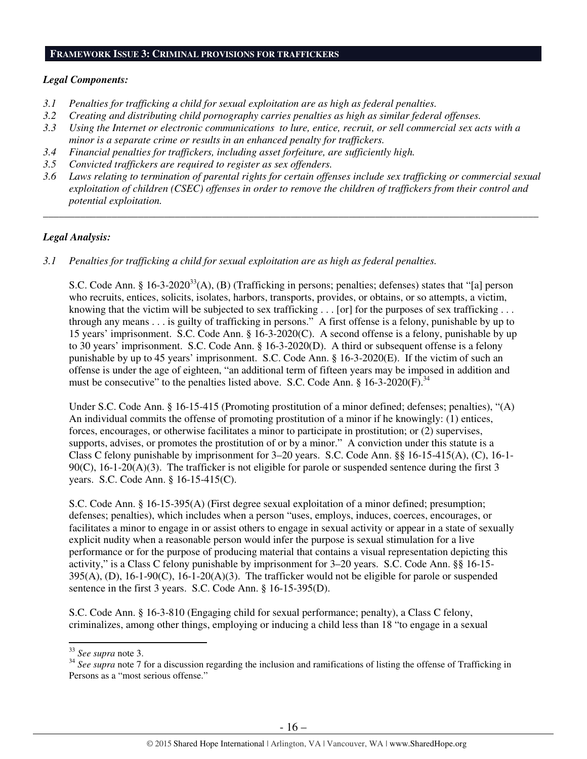## **FRAMEWORK ISSUE 3: CRIMINAL PROVISIONS FOR TRAFFICKERS**

## *Legal Components:*

- *3.1 Penalties for trafficking a child for sexual exploitation are as high as federal penalties.*
- *3.2 Creating and distributing child pornography carries penalties as high as similar federal offenses.*
- *3.3 Using the Internet or electronic communications to lure, entice, recruit, or sell commercial sex acts with a minor is a separate crime or results in an enhanced penalty for traffickers.*
- *3.4 Financial penalties for traffickers, including asset forfeiture, are sufficiently high.*
- *3.5 Convicted traffickers are required to register as sex offenders.*
- *3.6 Laws relating to termination of parental rights for certain offenses include sex trafficking or commercial sexual exploitation of children (CSEC) offenses in order to remove the children of traffickers from their control and potential exploitation.*

*\_\_\_\_\_\_\_\_\_\_\_\_\_\_\_\_\_\_\_\_\_\_\_\_\_\_\_\_\_\_\_\_\_\_\_\_\_\_\_\_\_\_\_\_\_\_\_\_\_\_\_\_\_\_\_\_\_\_\_\_\_\_\_\_\_\_\_\_\_\_\_\_\_\_\_\_\_\_\_\_\_\_\_\_\_\_\_\_\_\_\_\_\_\_* 

# *Legal Analysis:*

*3.1 Penalties for trafficking a child for sexual exploitation are as high as federal penalties.* 

S.C. Code Ann. § 16-3-2020<sup>33</sup>(A), (B) (Trafficking in persons; penalties; defenses) states that "[a] person who recruits, entices, solicits, isolates, harbors, transports, provides, or obtains, or so attempts, a victim, knowing that the victim will be subjected to sex trafficking . . . [or] for the purposes of sex trafficking . . . through any means . . . is guilty of trafficking in persons." A first offense is a felony, punishable by up to 15 years' imprisonment. S.C. Code Ann. § 16-3-2020(C). A second offense is a felony, punishable by up to 30 years' imprisonment. S.C. Code Ann. § 16-3-2020(D). A third or subsequent offense is a felony punishable by up to 45 years' imprisonment. S.C. Code Ann. § 16-3-2020(E). If the victim of such an offense is under the age of eighteen, "an additional term of fifteen years may be imposed in addition and must be consecutive" to the penalties listed above. S.C. Code Ann.  $\S 16-3-2020(F)$ .<sup>34</sup>

Under S.C. Code Ann. § 16-15-415 (Promoting prostitution of a minor defined; defenses; penalties), "(A) An individual commits the offense of promoting prostitution of a minor if he knowingly: (1) entices, forces, encourages, or otherwise facilitates a minor to participate in prostitution; or (2) supervises, supports, advises, or promotes the prostitution of or by a minor." A conviction under this statute is a Class C felony punishable by imprisonment for 3–20 years. S.C. Code Ann. §§ 16-15-415(A), (C), 16-1-  $90(C)$ ,  $16-1-20(A)(3)$ . The trafficker is not eligible for parole or suspended sentence during the first 3 years. S.C. Code Ann. § 16-15-415(C).

S.C. Code Ann. § 16-15-395(A) (First degree sexual exploitation of a minor defined; presumption; defenses; penalties), which includes when a person "uses, employs, induces, coerces, encourages, or facilitates a minor to engage in or assist others to engage in sexual activity or appear in a state of sexually explicit nudity when a reasonable person would infer the purpose is sexual stimulation for a live performance or for the purpose of producing material that contains a visual representation depicting this activity," is a Class C felony punishable by imprisonment for 3–20 years. S.C. Code Ann. §§ 16-15- 395(A), (D), 16-1-90(C), 16-1-20(A)(3). The trafficker would not be eligible for parole or suspended sentence in the first 3 years. S.C. Code Ann. § 16-15-395(D).

S.C. Code Ann. § 16-3-810 (Engaging child for sexual performance; penalty), a Class C felony, criminalizes, among other things, employing or inducing a child less than 18 "to engage in a sexual

<sup>33</sup> *See supra* note 3.

<sup>&</sup>lt;sup>34</sup> See supra note 7 for a discussion regarding the inclusion and ramifications of listing the offense of Trafficking in Persons as a "most serious offense."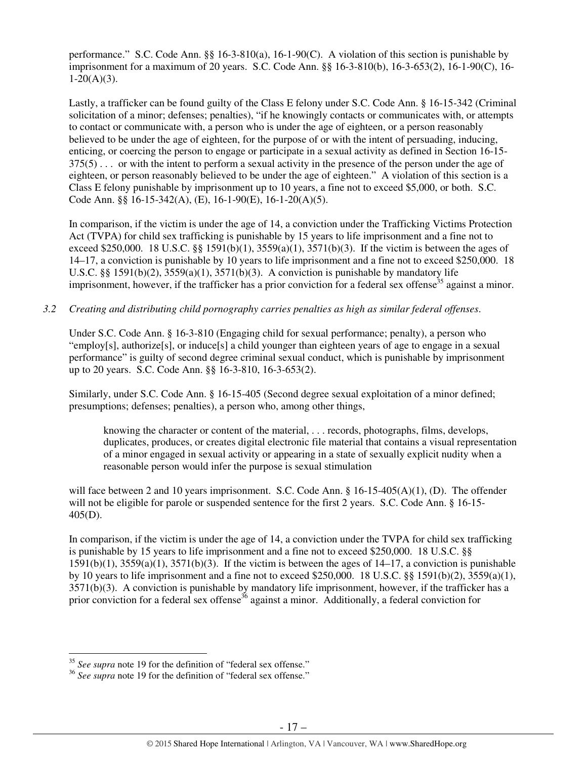performance." S.C. Code Ann. §§ 16-3-810(a), 16-1-90(C). A violation of this section is punishable by imprisonment for a maximum of 20 years. S.C. Code Ann. §§ 16-3-810(b), 16-3-653(2), 16-1-90(C), 16-  $1-20(A)(3)$ .

Lastly, a trafficker can be found guilty of the Class E felony under S.C. Code Ann. § 16-15-342 (Criminal solicitation of a minor; defenses; penalties), "if he knowingly contacts or communicates with, or attempts to contact or communicate with, a person who is under the age of eighteen, or a person reasonably believed to be under the age of eighteen, for the purpose of or with the intent of persuading, inducing, enticing, or coercing the person to engage or participate in a sexual activity as defined in Section 16-15- 375(5) . . . or with the intent to perform a sexual activity in the presence of the person under the age of eighteen, or person reasonably believed to be under the age of eighteen." A violation of this section is a Class E felony punishable by imprisonment up to 10 years, a fine not to exceed \$5,000, or both. S.C. Code Ann. §§ 16-15-342(A), (E), 16-1-90(E), 16-1-20(A)(5).

In comparison, if the victim is under the age of 14, a conviction under the Trafficking Victims Protection Act (TVPA) for child sex trafficking is punishable by 15 years to life imprisonment and a fine not to exceed \$250,000. 18 U.S.C. §§ 1591(b)(1), 3559(a)(1), 3571(b)(3). If the victim is between the ages of 14–17, a conviction is punishable by 10 years to life imprisonment and a fine not to exceed \$250,000. 18 U.S.C. §§ 1591(b)(2),  $3559(a)(1)$ ,  $3571(b)(3)$ . A conviction is punishable by mandatory life imprisonment, however, if the trafficker has a prior conviction for a federal sex offense<sup>35</sup> against a minor.

# *3.2 Creating and distributing child pornography carries penalties as high as similar federal offenses*.

Under S.C. Code Ann. § 16-3-810 (Engaging child for sexual performance; penalty), a person who "employ[s], authorize[s], or induce[s] a child younger than eighteen years of age to engage in a sexual performance" is guilty of second degree criminal sexual conduct, which is punishable by imprisonment up to 20 years. S.C. Code Ann. §§ 16-3-810, 16-3-653(2).

Similarly, under S.C. Code Ann. § 16-15-405 (Second degree sexual exploitation of a minor defined; presumptions; defenses; penalties), a person who, among other things,

knowing the character or content of the material, . . . records, photographs, films, develops, duplicates, produces, or creates digital electronic file material that contains a visual representation of a minor engaged in sexual activity or appearing in a state of sexually explicit nudity when a reasonable person would infer the purpose is sexual stimulation

will face between 2 and 10 years imprisonment. S.C. Code Ann. § 16-15-405(A)(1), (D). The offender will not be eligible for parole or suspended sentence for the first 2 years. S.C. Code Ann. § 16-15-405(D).

In comparison, if the victim is under the age of 14, a conviction under the TVPA for child sex trafficking is punishable by 15 years to life imprisonment and a fine not to exceed \$250,000. 18 U.S.C. §§  $1591(b)(1)$ ,  $3559(a)(1)$ ,  $3571(b)(3)$ . If the victim is between the ages of  $14-17$ , a conviction is punishable by 10 years to life imprisonment and a fine not to exceed \$250,000. 18 U.S.C. §§ 1591(b)(2), 3559(a)(1), 3571(b)(3). A conviction is punishable by mandatory life imprisonment, however, if the trafficker has a prior conviction for a federal sex offense<sup>36</sup> against a minor. Additionally, a federal conviction for

<sup>35</sup> *See supra* note 19 for the definition of "federal sex offense."

<sup>36</sup> *See supra* note 19 for the definition of "federal sex offense."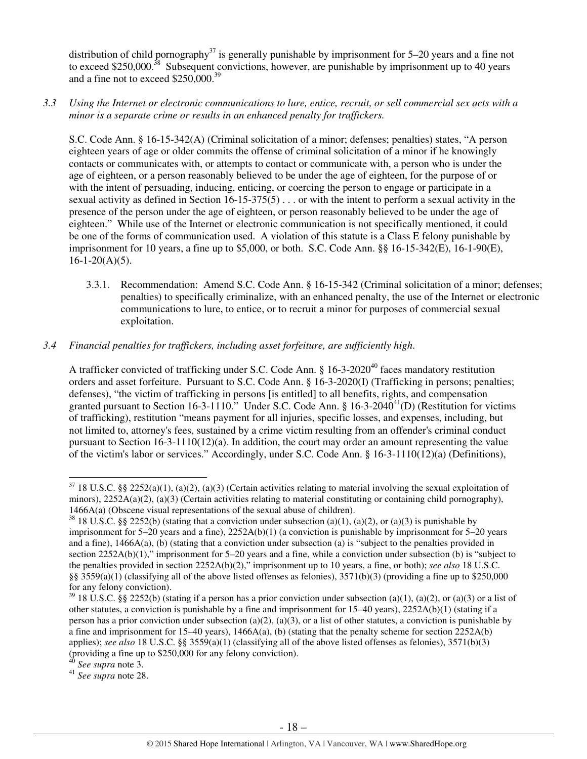distribution of child pornography<sup>37</sup> is generally punishable by imprisonment for 5–20 years and a fine not to exceed \$250,000.<sup>38</sup> Subsequent convictions, however, are punishable by imprisonment up to 40 years and a fine not to exceed  $$250,000.<sup>39</sup>$ 

*3.3 Using the Internet or electronic communications to lure, entice, recruit, or sell commercial sex acts with a minor is a separate crime or results in an enhanced penalty for traffickers.* 

S.C. Code Ann. § 16-15-342(A) (Criminal solicitation of a minor; defenses; penalties) states, "A person eighteen years of age or older commits the offense of criminal solicitation of a minor if he knowingly contacts or communicates with, or attempts to contact or communicate with, a person who is under the age of eighteen, or a person reasonably believed to be under the age of eighteen, for the purpose of or with the intent of persuading, inducing, enticing, or coercing the person to engage or participate in a sexual activity as defined in Section 16-15-375(5) . . . or with the intent to perform a sexual activity in the presence of the person under the age of eighteen, or person reasonably believed to be under the age of eighteen." While use of the Internet or electronic communication is not specifically mentioned, it could be one of the forms of communication used. A violation of this statute is a Class E felony punishable by imprisonment for 10 years, a fine up to \$5,000, or both. S.C. Code Ann. §§ 16-15-342(E), 16-1-90(E),  $16-1-20(A)(5)$ .

3.3.1. Recommendation: Amend S.C. Code Ann. § 16-15-342 (Criminal solicitation of a minor; defenses; penalties) to specifically criminalize, with an enhanced penalty, the use of the Internet or electronic communications to lure, to entice, or to recruit a minor for purposes of commercial sexual exploitation.

# *3.4 Financial penalties for traffickers, including asset forfeiture, are sufficiently high*.

A trafficker convicted of trafficking under S.C. Code Ann. § 16-3-2020<sup>40</sup> faces mandatory restitution orders and asset forfeiture. Pursuant to S.C. Code Ann. § 16-3-2020(I) (Trafficking in persons; penalties; defenses), "the victim of trafficking in persons [is entitled] to all benefits, rights, and compensation granted pursuant to Section 16-3-1110." Under S.C. Code Ann.  $\S$  16-3-2040<sup>41</sup>(D) (Restitution for victims of trafficking), restitution "means payment for all injuries, specific losses, and expenses, including, but not limited to, attorney's fees, sustained by a crime victim resulting from an offender's criminal conduct pursuant to Section 16-3-1110(12)(a). In addition, the court may order an amount representing the value of the victim's labor or services." Accordingly, under S.C. Code Ann. § 16-3-1110(12)(a) (Definitions),

 $37$  18 U.S.C. §§ 2252(a)(1), (a)(2), (a)(3) (Certain activities relating to material involving the sexual exploitation of minors),  $2252A(a)(2)$ ,  $(a)(3)$  (Certain activities relating to material constituting or containing child pornography), 1466A(a) (Obscene visual representations of the sexual abuse of children).

 $38$  18 U.S.C. §§ 2252(b) (stating that a conviction under subsection (a)(1), (a)(2), or (a)(3) is punishable by imprisonment for 5–20 years and a fine), 2252A(b)(1) (a conviction is punishable by imprisonment for 5–20 years and a fine), 1466A(a), (b) (stating that a conviction under subsection (a) is "subject to the penalties provided in section 2252A(b)(1)," imprisonment for 5–20 years and a fine, while a conviction under subsection (b) is "subject to the penalties provided in section 2252A(b)(2)," imprisonment up to 10 years, a fine, or both); *see also* 18 U.S.C. §§ 3559(a)(1) (classifying all of the above listed offenses as felonies),  $3571(b)(3)$  (providing a fine up to \$250,000 for any felony conviction).

<sup>&</sup>lt;sup>39</sup> 18 U.S.C. §§ 2252(b) (stating if a person has a prior conviction under subsection (a)(1), (a)(2), or (a)(3) or a list of other statutes, a conviction is punishable by a fine and imprisonment for  $15-40$  years),  $2252A(b)(1)$  (stating if a person has a prior conviction under subsection (a)(2), (a)(3), or a list of other statutes, a conviction is punishable by a fine and imprisonment for 15–40 years), 1466A(a), (b) (stating that the penalty scheme for section 2252A(b) applies); *see also* 18 U.S.C. §§ 3559(a)(1) (classifying all of the above listed offenses as felonies), 3571(b)(3) (providing a fine up to \$250,000 for any felony conviction).

<sup>40</sup> *See supra* note 3.

<sup>41</sup> *See supra* note 28.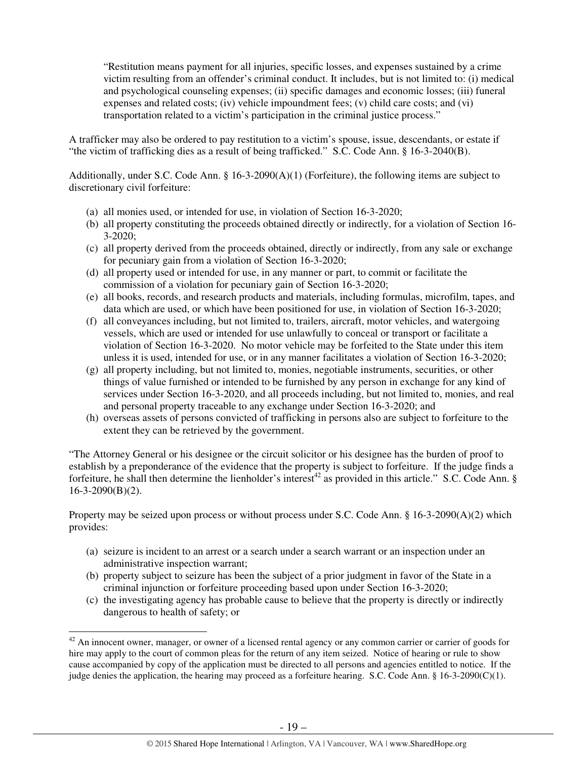"Restitution means payment for all injuries, specific losses, and expenses sustained by a crime victim resulting from an offender's criminal conduct. It includes, but is not limited to: (i) medical and psychological counseling expenses; (ii) specific damages and economic losses; (iii) funeral expenses and related costs; (iv) vehicle impoundment fees; (v) child care costs; and (vi) transportation related to a victim's participation in the criminal justice process."

A trafficker may also be ordered to pay restitution to a victim's spouse, issue, descendants, or estate if "the victim of trafficking dies as a result of being trafficked." S.C. Code Ann. § 16-3-2040(B).

Additionally, under S.C. Code Ann.  $\S$  16-3-2090(A)(1) (Forfeiture), the following items are subject to discretionary civil forfeiture:

- (a) all monies used, or intended for use, in violation of Section 16-3-2020;
- (b) all property constituting the proceeds obtained directly or indirectly, for a violation of Section 16- 3-2020;
- (c) all property derived from the proceeds obtained, directly or indirectly, from any sale or exchange for pecuniary gain from a violation of Section 16-3-2020;
- (d) all property used or intended for use, in any manner or part, to commit or facilitate the commission of a violation for pecuniary gain of Section 16-3-2020;
- (e) all books, records, and research products and materials, including formulas, microfilm, tapes, and data which are used, or which have been positioned for use, in violation of Section 16-3-2020;
- (f) all conveyances including, but not limited to, trailers, aircraft, motor vehicles, and watergoing vessels, which are used or intended for use unlawfully to conceal or transport or facilitate a violation of Section 16-3-2020. No motor vehicle may be forfeited to the State under this item unless it is used, intended for use, or in any manner facilitates a violation of Section 16-3-2020;
- (g) all property including, but not limited to, monies, negotiable instruments, securities, or other things of value furnished or intended to be furnished by any person in exchange for any kind of services under Section 16-3-2020, and all proceeds including, but not limited to, monies, and real and personal property traceable to any exchange under Section 16-3-2020; and
- (h) overseas assets of persons convicted of trafficking in persons also are subject to forfeiture to the extent they can be retrieved by the government.

"The Attorney General or his designee or the circuit solicitor or his designee has the burden of proof to establish by a preponderance of the evidence that the property is subject to forfeiture. If the judge finds a forfeiture, he shall then determine the lienholder's interest<sup>42</sup> as provided in this article." S.C. Code Ann. § 16-3-2090(B)(2).

Property may be seized upon process or without process under S.C. Code Ann. § 16-3-2090(A)(2) which provides:

- (a) seizure is incident to an arrest or a search under a search warrant or an inspection under an administrative inspection warrant;
- (b) property subject to seizure has been the subject of a prior judgment in favor of the State in a criminal injunction or forfeiture proceeding based upon under Section 16-3-2020;
- (c) the investigating agency has probable cause to believe that the property is directly or indirectly dangerous to health of safety; or

 $42$  An innocent owner, manager, or owner of a licensed rental agency or any common carrier or carrier of goods for hire may apply to the court of common pleas for the return of any item seized. Notice of hearing or rule to show cause accompanied by copy of the application must be directed to all persons and agencies entitled to notice. If the judge denies the application, the hearing may proceed as a forfeiture hearing. S.C. Code Ann. § 16-3-2090(C)(1).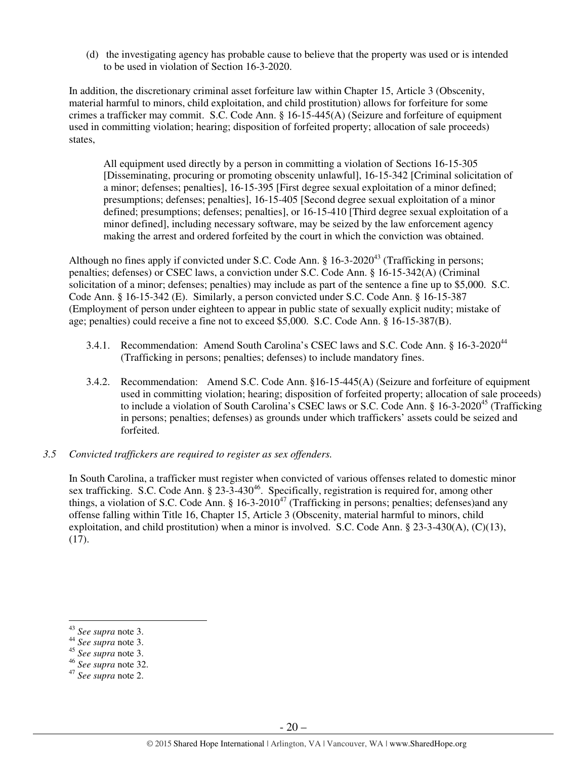(d) the investigating agency has probable cause to believe that the property was used or is intended to be used in violation of Section 16-3-2020.

In addition, the discretionary criminal asset forfeiture law within Chapter 15, Article 3 (Obscenity, material harmful to minors, child exploitation, and child prostitution) allows for forfeiture for some crimes a trafficker may commit. S.C. Code Ann. § 16-15-445(A) (Seizure and forfeiture of equipment used in committing violation; hearing; disposition of forfeited property; allocation of sale proceeds) states,

All equipment used directly by a person in committing a violation of Sections 16-15-305 [Disseminating, procuring or promoting obscenity unlawful], 16-15-342 [Criminal solicitation of a minor; defenses; penalties], 16-15-395 [First degree sexual exploitation of a minor defined; presumptions; defenses; penalties], 16-15-405 [Second degree sexual exploitation of a minor defined; presumptions; defenses; penalties], or 16-15-410 [Third degree sexual exploitation of a minor defined], including necessary software, may be seized by the law enforcement agency making the arrest and ordered forfeited by the court in which the conviction was obtained.

Although no fines apply if convicted under S.C. Code Ann.  $\S$  16-3-2020<sup>43</sup> (Trafficking in persons; penalties; defenses) or CSEC laws, a conviction under S.C. Code Ann. § 16-15-342(A) (Criminal solicitation of a minor; defenses; penalties) may include as part of the sentence a fine up to \$5,000. S.C. Code Ann. § 16-15-342 (E). Similarly, a person convicted under S.C. Code Ann. § 16-15-387 (Employment of person under eighteen to appear in public state of sexually explicit nudity; mistake of age; penalties) could receive a fine not to exceed \$5,000. S.C. Code Ann. § 16-15-387(B).

- 3.4.1. Recommendation: Amend South Carolina's CSEC laws and S.C. Code Ann. § 16-3-2020<sup>44</sup> (Trafficking in persons; penalties; defenses) to include mandatory fines.
- 3.4.2. Recommendation: Amend S.C. Code Ann. §16-15-445(A) (Seizure and forfeiture of equipment used in committing violation; hearing; disposition of forfeited property; allocation of sale proceeds) to include a violation of South Carolina's CSEC laws or S.C. Code Ann. § 16-3-2020<sup>45</sup> (Trafficking in persons; penalties; defenses) as grounds under which traffickers' assets could be seized and forfeited.
- *3.5 Convicted traffickers are required to register as sex offenders.*

In South Carolina, a trafficker must register when convicted of various offenses related to domestic minor sex trafficking. S.C. Code Ann. § 23-3-430<sup>46</sup>. Specifically, registration is required for, among other things, a violation of S.C. Code Ann. § 16-3-2010<sup>47</sup> (Trafficking in persons; penalties; defenses)and any offense falling within Title 16, Chapter 15, Article 3 (Obscenity, material harmful to minors, child exploitation, and child prostitution) when a minor is involved. S.C. Code Ann. § 23-3-430(A), (C)(13), (17).

<sup>43</sup> *See supra* note 3.

<sup>44</sup> *See supra* note 3.

<sup>45</sup> *See supra* note 3.

<sup>46</sup> *See supra* note 32.

<sup>47</sup> *See supra* note 2.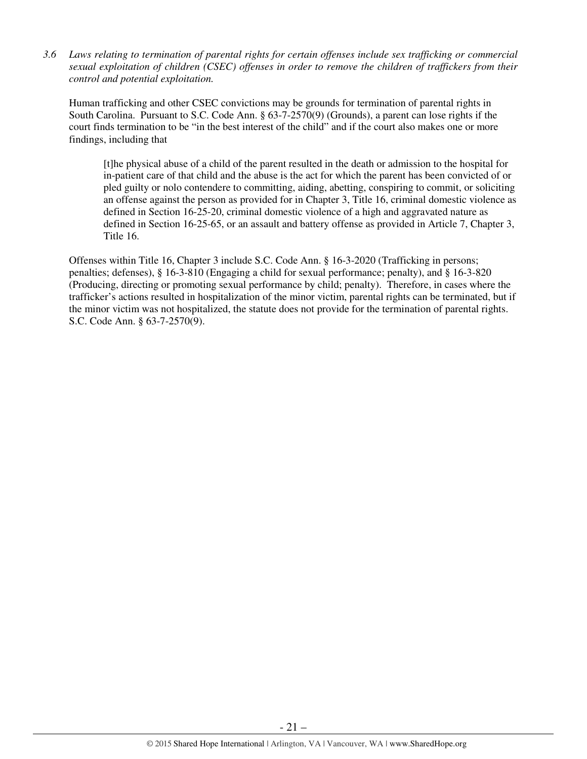*3.6 Laws relating to termination of parental rights for certain offenses include sex trafficking or commercial sexual exploitation of children (CSEC) offenses in order to remove the children of traffickers from their control and potential exploitation.* 

Human trafficking and other CSEC convictions may be grounds for termination of parental rights in South Carolina. Pursuant to S.C. Code Ann. § 63-7-2570(9) (Grounds), a parent can lose rights if the court finds termination to be "in the best interest of the child" and if the court also makes one or more findings, including that

[t]he physical abuse of a child of the parent resulted in the death or admission to the hospital for in-patient care of that child and the abuse is the act for which the parent has been convicted of or pled guilty or nolo contendere to committing, aiding, abetting, conspiring to commit, or soliciting an offense against the person as provided for in Chapter 3, Title 16, criminal domestic violence as defined in Section 16-25-20, criminal domestic violence of a high and aggravated nature as defined in Section 16-25-65, or an assault and battery offense as provided in Article 7, Chapter 3, Title 16.

Offenses within Title 16, Chapter 3 include S.C. Code Ann. § 16-3-2020 (Trafficking in persons; penalties; defenses), § 16-3-810 (Engaging a child for sexual performance; penalty), and § 16-3-820 (Producing, directing or promoting sexual performance by child; penalty). Therefore, in cases where the trafficker's actions resulted in hospitalization of the minor victim, parental rights can be terminated, but if the minor victim was not hospitalized, the statute does not provide for the termination of parental rights. S.C. Code Ann. § 63-7-2570(9).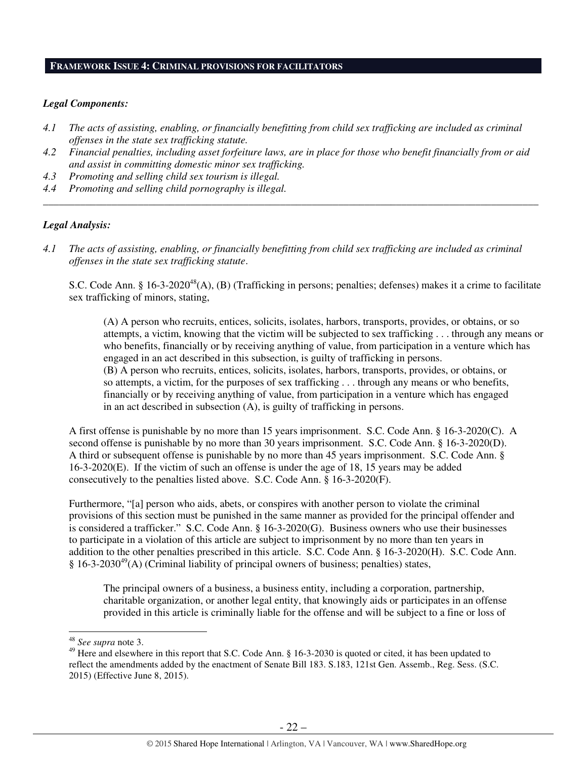## **FRAMEWORK ISSUE 4: CRIMINAL PROVISIONS FOR FACILITATORS**

#### *Legal Components:*

- *4.1 The acts of assisting, enabling, or financially benefitting from child sex trafficking are included as criminal offenses in the state sex trafficking statute.*
- *4.2 Financial penalties, including asset forfeiture laws, are in place for those who benefit financially from or aid and assist in committing domestic minor sex trafficking.*

*\_\_\_\_\_\_\_\_\_\_\_\_\_\_\_\_\_\_\_\_\_\_\_\_\_\_\_\_\_\_\_\_\_\_\_\_\_\_\_\_\_\_\_\_\_\_\_\_\_\_\_\_\_\_\_\_\_\_\_\_\_\_\_\_\_\_\_\_\_\_\_\_\_\_\_\_\_\_\_\_\_\_\_\_\_\_\_\_\_\_\_\_\_\_* 

- *4.3 Promoting and selling child sex tourism is illegal.*
- *4.4 Promoting and selling child pornography is illegal.*

## *Legal Analysis:*

*4.1 The acts of assisting, enabling, or financially benefitting from child sex trafficking are included as criminal offenses in the state sex trafficking statute*.

S.C. Code Ann. § 16-3-2020<sup>48</sup>(A), (B) (Trafficking in persons; penalties; defenses) makes it a crime to facilitate sex trafficking of minors, stating,

(A) A person who recruits, entices, solicits, isolates, harbors, transports, provides, or obtains, or so attempts, a victim, knowing that the victim will be subjected to sex trafficking . . . through any means or who benefits, financially or by receiving anything of value, from participation in a venture which has engaged in an act described in this subsection, is guilty of trafficking in persons. (B) A person who recruits, entices, solicits, isolates, harbors, transports, provides, or obtains, or so attempts, a victim, for the purposes of sex trafficking . . . through any means or who benefits, financially or by receiving anything of value, from participation in a venture which has engaged in an act described in subsection (A), is guilty of trafficking in persons.

A first offense is punishable by no more than 15 years imprisonment. S.C. Code Ann. § 16-3-2020(C). A second offense is punishable by no more than 30 years imprisonment. S.C. Code Ann. § 16-3-2020(D). A third or subsequent offense is punishable by no more than 45 years imprisonment. S.C. Code Ann. § 16-3-2020(E). If the victim of such an offense is under the age of 18, 15 years may be added consecutively to the penalties listed above. S.C. Code Ann. § 16-3-2020(F).

Furthermore, "[a] person who aids, abets, or conspires with another person to violate the criminal provisions of this section must be punished in the same manner as provided for the principal offender and is considered a trafficker." S.C. Code Ann. § 16-3-2020(G). Business owners who use their businesses to participate in a violation of this article are subject to imprisonment by no more than ten years in addition to the other penalties prescribed in this article. S.C. Code Ann. § 16-3-2020(H). S.C. Code Ann.  $§ 16-3-2030<sup>49</sup>(A)$  (Criminal liability of principal owners of business; penalties) states,

The principal owners of a business, a business entity, including a corporation, partnership, charitable organization, or another legal entity, that knowingly aids or participates in an offense provided in this article is criminally liable for the offense and will be subject to a fine or loss of

<sup>48</sup> *See supra* note 3.

<sup>&</sup>lt;sup>49</sup> Here and elsewhere in this report that S.C. Code Ann. § 16-3-2030 is quoted or cited, it has been updated to reflect the amendments added by the enactment of Senate Bill 183. S.183, 121st Gen. Assemb., Reg. Sess. (S.C. 2015) (Effective June 8, 2015).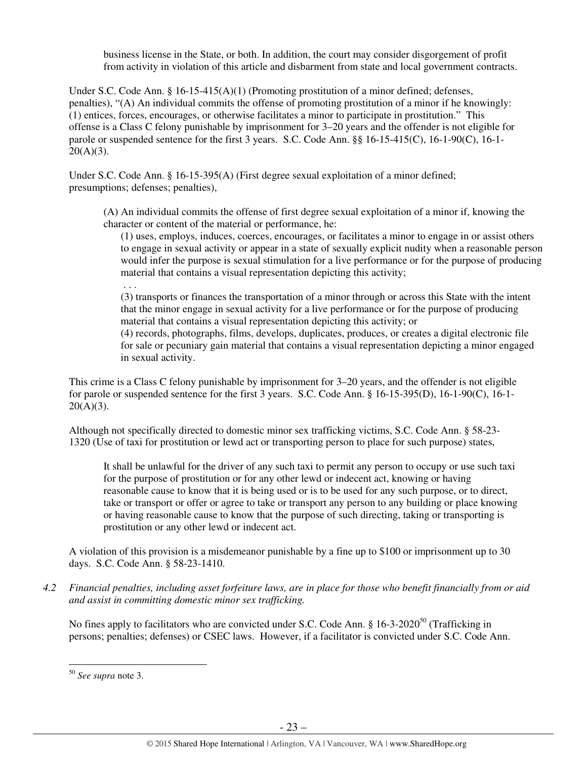business license in the State, or both. In addition, the court may consider disgorgement of profit from activity in violation of this article and disbarment from state and local government contracts.

Under S.C. Code Ann. §  $16-15-415(A)(1)$  (Promoting prostitution of a minor defined; defenses, penalties), "(A) An individual commits the offense of promoting prostitution of a minor if he knowingly: (1) entices, forces, encourages, or otherwise facilitates a minor to participate in prostitution." This offense is a Class C felony punishable by imprisonment for 3–20 years and the offender is not eligible for parole or suspended sentence for the first 3 years. S.C. Code Ann. §§ 16-15-415(C), 16-1-90(C), 16-1-  $20(A)(3)$ .

Under S.C. Code Ann. § 16-15-395(A) (First degree sexual exploitation of a minor defined; presumptions; defenses; penalties),

(A) An individual commits the offense of first degree sexual exploitation of a minor if, knowing the character or content of the material or performance, he:

(1) uses, employs, induces, coerces, encourages, or facilitates a minor to engage in or assist others to engage in sexual activity or appear in a state of sexually explicit nudity when a reasonable person would infer the purpose is sexual stimulation for a live performance or for the purpose of producing material that contains a visual representation depicting this activity;

. . .

(3) transports or finances the transportation of a minor through or across this State with the intent that the minor engage in sexual activity for a live performance or for the purpose of producing material that contains a visual representation depicting this activity; or

(4) records, photographs, films, develops, duplicates, produces, or creates a digital electronic file for sale or pecuniary gain material that contains a visual representation depicting a minor engaged in sexual activity.

This crime is a Class C felony punishable by imprisonment for 3–20 years, and the offender is not eligible for parole or suspended sentence for the first 3 years. S.C. Code Ann. § 16-15-395(D), 16-1-90(C), 16-1-  $20(A)(3)$ .

Although not specifically directed to domestic minor sex trafficking victims, S.C. Code Ann. § 58-23- 1320 (Use of taxi for prostitution or lewd act or transporting person to place for such purpose) states,

It shall be unlawful for the driver of any such taxi to permit any person to occupy or use such taxi for the purpose of prostitution or for any other lewd or indecent act, knowing or having reasonable cause to know that it is being used or is to be used for any such purpose, or to direct, take or transport or offer or agree to take or transport any person to any building or place knowing or having reasonable cause to know that the purpose of such directing, taking or transporting is prostitution or any other lewd or indecent act.

A violation of this provision is a misdemeanor punishable by a fine up to \$100 or imprisonment up to 30 days. S.C. Code Ann. § 58-23-1410.

*4.2 Financial penalties, including asset forfeiture laws, are in place for those who benefit financially from or aid and assist in committing domestic minor sex trafficking.* 

No fines apply to facilitators who are convicted under S.C. Code Ann. § 16-3-2020<sup>50</sup> (Trafficking in persons; penalties; defenses) or CSEC laws. However, if a facilitator is convicted under S.C. Code Ann.

<sup>50</sup> *See supra* note 3.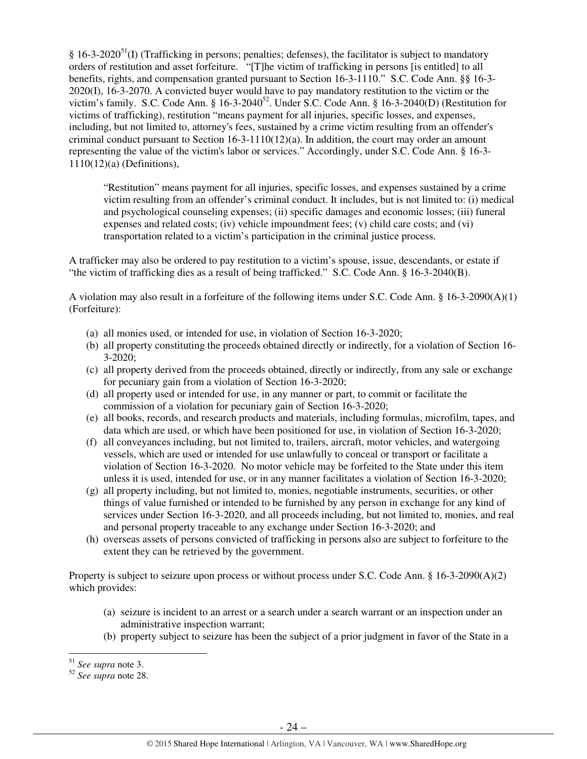$\S$  16-3-2020<sup>51</sup>(I) (Trafficking in persons; penalties; defenses), the facilitator is subject to mandatory orders of restitution and asset forfeiture. "[T]he victim of trafficking in persons [is entitled] to all benefits, rights, and compensation granted pursuant to Section 16-3-1110." S.C. Code Ann. §§ 16-3- 2020(I), 16-3-2070. A convicted buyer would have to pay mandatory restitution to the victim or the victim's family. S.C. Code Ann. § 16-3-2040<sup>52</sup>. Under S.C. Code Ann. § 16-3-2040(D) (Restitution for victims of trafficking), restitution "means payment for all injuries, specific losses, and expenses, including, but not limited to, attorney's fees, sustained by a crime victim resulting from an offender's criminal conduct pursuant to Section  $16-3-1110(12)(a)$ . In addition, the court may order an amount representing the value of the victim's labor or services." Accordingly, under S.C. Code Ann. § 16-3- 1110(12)(a) (Definitions),

"Restitution" means payment for all injuries, specific losses, and expenses sustained by a crime victim resulting from an offender's criminal conduct. It includes, but is not limited to: (i) medical and psychological counseling expenses; (ii) specific damages and economic losses; (iii) funeral expenses and related costs; (iv) vehicle impoundment fees; (v) child care costs; and (vi) transportation related to a victim's participation in the criminal justice process.

A trafficker may also be ordered to pay restitution to a victim's spouse, issue, descendants, or estate if "the victim of trafficking dies as a result of being trafficked." S.C. Code Ann. § 16-3-2040(B).

A violation may also result in a forfeiture of the following items under S.C. Code Ann. § 16-3-2090(A)(1) (Forfeiture):

- (a) all monies used, or intended for use, in violation of Section 16-3-2020;
- (b) all property constituting the proceeds obtained directly or indirectly, for a violation of Section 16- 3-2020;
- (c) all property derived from the proceeds obtained, directly or indirectly, from any sale or exchange for pecuniary gain from a violation of Section 16-3-2020;
- (d) all property used or intended for use, in any manner or part, to commit or facilitate the commission of a violation for pecuniary gain of Section 16-3-2020;
- (e) all books, records, and research products and materials, including formulas, microfilm, tapes, and data which are used, or which have been positioned for use, in violation of Section 16-3-2020;
- (f) all conveyances including, but not limited to, trailers, aircraft, motor vehicles, and watergoing vessels, which are used or intended for use unlawfully to conceal or transport or facilitate a violation of Section 16-3-2020. No motor vehicle may be forfeited to the State under this item unless it is used, intended for use, or in any manner facilitates a violation of Section 16-3-2020;
- (g) all property including, but not limited to, monies, negotiable instruments, securities, or other things of value furnished or intended to be furnished by any person in exchange for any kind of services under Section 16-3-2020, and all proceeds including, but not limited to, monies, and real and personal property traceable to any exchange under Section 16-3-2020; and
- (h) overseas assets of persons convicted of trafficking in persons also are subject to forfeiture to the extent they can be retrieved by the government.

Property is subject to seizure upon process or without process under S.C. Code Ann. § 16-3-2090(A)(2) which provides:

- (a) seizure is incident to an arrest or a search under a search warrant or an inspection under an administrative inspection warrant;
- (b) property subject to seizure has been the subject of a prior judgment in favor of the State in a

<sup>51</sup> *See supra* note 3.

<sup>52</sup> *See supra* note 28.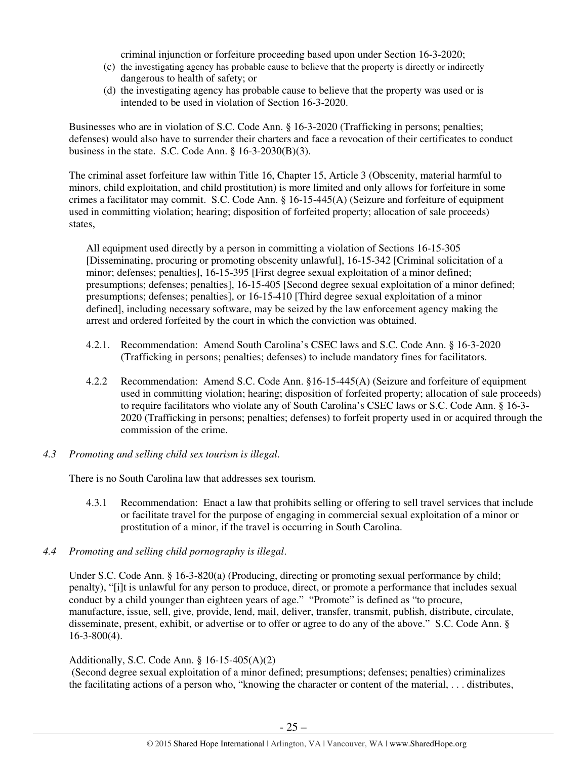criminal injunction or forfeiture proceeding based upon under Section 16-3-2020;

- (c) the investigating agency has probable cause to believe that the property is directly or indirectly dangerous to health of safety; or
- (d) the investigating agency has probable cause to believe that the property was used or is intended to be used in violation of Section 16-3-2020.

Businesses who are in violation of S.C. Code Ann. § 16-3-2020 (Trafficking in persons; penalties; defenses) would also have to surrender their charters and face a revocation of their certificates to conduct business in the state. S.C. Code Ann.  $\S$  16-3-2030(B)(3).

The criminal asset forfeiture law within Title 16, Chapter 15, Article 3 (Obscenity, material harmful to minors, child exploitation, and child prostitution) is more limited and only allows for forfeiture in some crimes a facilitator may commit. S.C. Code Ann. § 16-15-445(A) (Seizure and forfeiture of equipment used in committing violation; hearing; disposition of forfeited property; allocation of sale proceeds) states,

All equipment used directly by a person in committing a violation of Sections 16-15-305 [Disseminating, procuring or promoting obscenity unlawful], 16-15-342 [Criminal solicitation of a minor; defenses; penalties], 16-15-395 [First degree sexual exploitation of a minor defined; presumptions; defenses; penalties], 16-15-405 [Second degree sexual exploitation of a minor defined; presumptions; defenses; penalties], or 16-15-410 [Third degree sexual exploitation of a minor defined], including necessary software, may be seized by the law enforcement agency making the arrest and ordered forfeited by the court in which the conviction was obtained.

- 4.2.1. Recommendation: Amend South Carolina's CSEC laws and S.C. Code Ann. § 16-3-2020 (Trafficking in persons; penalties; defenses) to include mandatory fines for facilitators.
- 4.2.2 Recommendation: Amend S.C. Code Ann. §16-15-445(A) (Seizure and forfeiture of equipment used in committing violation; hearing; disposition of forfeited property; allocation of sale proceeds) to require facilitators who violate any of South Carolina's CSEC laws or S.C. Code Ann. § 16-3- 2020 (Trafficking in persons; penalties; defenses) to forfeit property used in or acquired through the commission of the crime.
- *4.3 Promoting and selling child sex tourism is illegal*.

There is no South Carolina law that addresses sex tourism.

- 4.3.1 Recommendation: Enact a law that prohibits selling or offering to sell travel services that include or facilitate travel for the purpose of engaging in commercial sexual exploitation of a minor or prostitution of a minor, if the travel is occurring in South Carolina.
- *4.4 Promoting and selling child pornography is illegal*.

Under S.C. Code Ann. § 16-3-820(a) (Producing, directing or promoting sexual performance by child; penalty), "[i]t is unlawful for any person to produce, direct, or promote a performance that includes sexual conduct by a child younger than eighteen years of age." "Promote" is defined as "to procure, manufacture, issue, sell, give, provide, lend, mail, deliver, transfer, transmit, publish, distribute, circulate, disseminate, present, exhibit, or advertise or to offer or agree to do any of the above." S.C. Code Ann. § 16-3-800(4).

## Additionally, S.C. Code Ann. § 16-15-405(A)(2)

 (Second degree sexual exploitation of a minor defined; presumptions; defenses; penalties) criminalizes the facilitating actions of a person who, "knowing the character or content of the material, . . . distributes,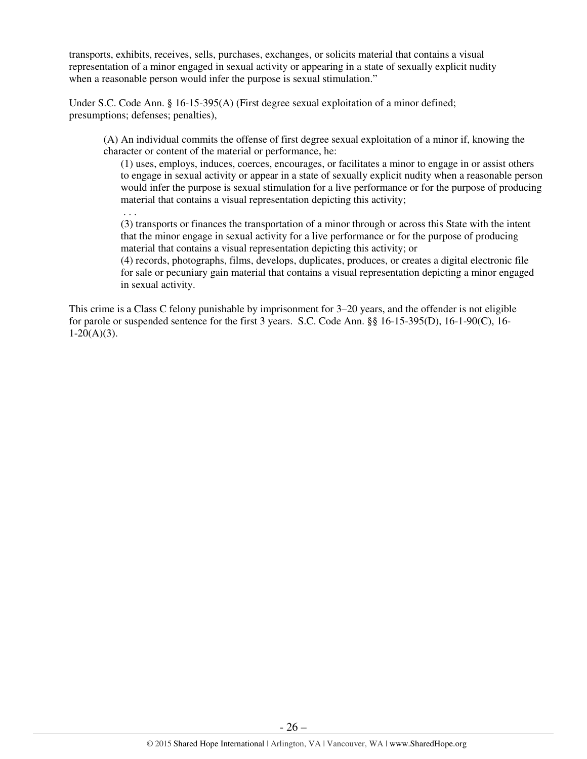transports, exhibits, receives, sells, purchases, exchanges, or solicits material that contains a visual representation of a minor engaged in sexual activity or appearing in a state of sexually explicit nudity when a reasonable person would infer the purpose is sexual stimulation."

Under S.C. Code Ann. § 16-15-395(A) (First degree sexual exploitation of a minor defined; presumptions; defenses; penalties),

(A) An individual commits the offense of first degree sexual exploitation of a minor if, knowing the character or content of the material or performance, he:

(1) uses, employs, induces, coerces, encourages, or facilitates a minor to engage in or assist others to engage in sexual activity or appear in a state of sexually explicit nudity when a reasonable person would infer the purpose is sexual stimulation for a live performance or for the purpose of producing material that contains a visual representation depicting this activity;

. . .

(3) transports or finances the transportation of a minor through or across this State with the intent that the minor engage in sexual activity for a live performance or for the purpose of producing material that contains a visual representation depicting this activity; or

(4) records, photographs, films, develops, duplicates, produces, or creates a digital electronic file for sale or pecuniary gain material that contains a visual representation depicting a minor engaged in sexual activity.

This crime is a Class C felony punishable by imprisonment for 3–20 years, and the offender is not eligible for parole or suspended sentence for the first 3 years. S.C. Code Ann. §§ 16-15-395(D), 16-1-90(C), 16-  $1-20(A)(3)$ .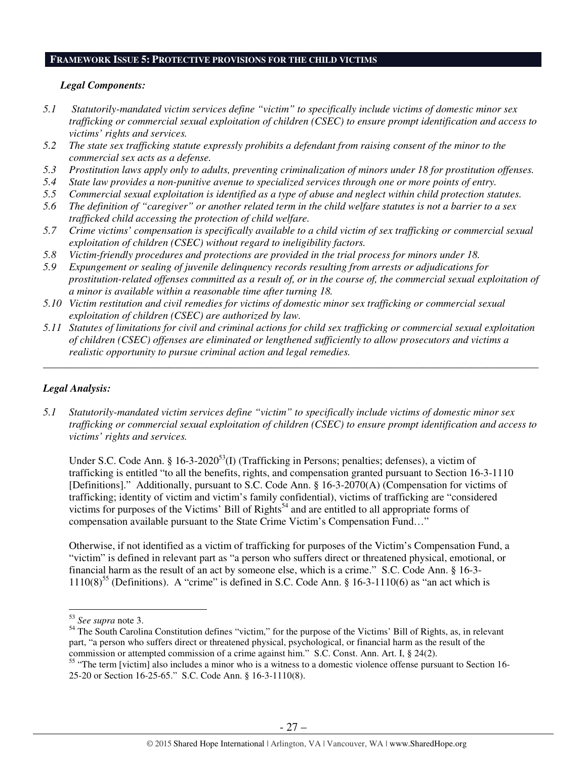# **FRAMEWORK ISSUE 5: PROTECTIVE PROVISIONS FOR THE CHILD VICTIMS**

#### *Legal Components:*

- *5.1 Statutorily-mandated victim services define "victim" to specifically include victims of domestic minor sex trafficking or commercial sexual exploitation of children (CSEC) to ensure prompt identification and access to victims' rights and services.*
- *5.2 The state sex trafficking statute expressly prohibits a defendant from raising consent of the minor to the commercial sex acts as a defense.*
- *5.3 Prostitution laws apply only to adults, preventing criminalization of minors under 18 for prostitution offenses.*
- *5.4 State law provides a non-punitive avenue to specialized services through one or more points of entry.*
- *5.5 Commercial sexual exploitation is identified as a type of abuse and neglect within child protection statutes.*
- *5.6 The definition of "caregiver" or another related term in the child welfare statutes is not a barrier to a sex trafficked child accessing the protection of child welfare.*
- *5.7 Crime victims' compensation is specifically available to a child victim of sex trafficking or commercial sexual exploitation of children (CSEC) without regard to ineligibility factors.*
- *5.8 Victim-friendly procedures and protections are provided in the trial process for minors under 18.*
- *5.9 Expungement or sealing of juvenile delinquency records resulting from arrests or adjudications for prostitution-related offenses committed as a result of, or in the course of, the commercial sexual exploitation of a minor is available within a reasonable time after turning 18.*
- *5.10 Victim restitution and civil remedies for victims of domestic minor sex trafficking or commercial sexual exploitation of children (CSEC) are authorized by law.*
- *5.11 Statutes of limitations for civil and criminal actions for child sex trafficking or commercial sexual exploitation of children (CSEC) offenses are eliminated or lengthened sufficiently to allow prosecutors and victims a realistic opportunity to pursue criminal action and legal remedies.*

*\_\_\_\_\_\_\_\_\_\_\_\_\_\_\_\_\_\_\_\_\_\_\_\_\_\_\_\_\_\_\_\_\_\_\_\_\_\_\_\_\_\_\_\_\_\_\_\_\_\_\_\_\_\_\_\_\_\_\_\_\_\_\_\_\_\_\_\_\_\_\_\_\_\_\_\_\_\_\_\_\_\_\_\_\_\_\_\_\_\_\_\_\_\_* 

## *Legal Analysis:*

*5.1 Statutorily-mandated victim services define "victim" to specifically include victims of domestic minor sex trafficking or commercial sexual exploitation of children (CSEC) to ensure prompt identification and access to victims' rights and services.* 

Under S.C. Code Ann. § 16-3-2020<sup>53</sup>(I) (Trafficking in Persons; penalties; defenses), a victim of trafficking is entitled "to all the benefits, rights, and compensation granted pursuant to Section 16-3-1110 [Definitions]." Additionally, pursuant to S.C. Code Ann. § 16-3-2070(A) (Compensation for victims of trafficking; identity of victim and victim's family confidential), victims of trafficking are "considered victims for purposes of the Victims' Bill of Rights<sup>54</sup> and are entitled to all appropriate forms of compensation available pursuant to the State Crime Victim's Compensation Fund…"

Otherwise, if not identified as a victim of trafficking for purposes of the Victim's Compensation Fund, a "victim" is defined in relevant part as "a person who suffers direct or threatened physical, emotional, or financial harm as the result of an act by someone else, which is a crime." S.C. Code Ann. § 16-3-  $1110(8)^{55}$  (Definitions). A "crime" is defined in S.C. Code Ann. § 16-3-1110(6) as "an act which is

<sup>53</sup> *See supra* note 3.

 $54$  The South Carolina Constitution defines "victim," for the purpose of the Victims' Bill of Rights, as, in relevant part, "a person who suffers direct or threatened physical, psychological, or financial harm as the result of the commission or attempted commission of a crime against him." S.C. Const. Ann. Art. I, § 24(2).

<sup>&</sup>lt;sup>55</sup> "The term [victim] also includes a minor who is a witness to a domestic violence offense pursuant to Section 16-25-20 or Section 16-25-65." S.C. Code Ann. § 16-3-1110(8).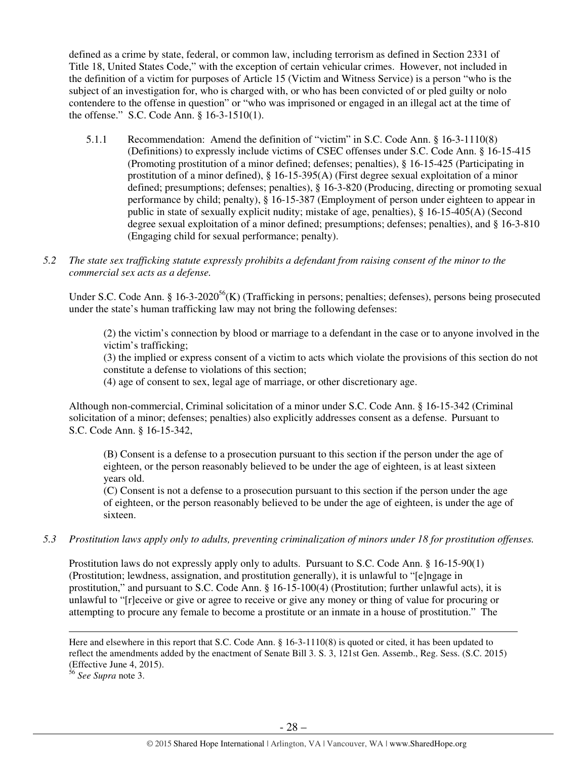defined as a crime by state, federal, or common law, including terrorism as defined in Section 2331 of Title 18, United States Code," with the exception of certain vehicular crimes. However, not included in the definition of a victim for purposes of Article 15 (Victim and Witness Service) is a person "who is the subject of an investigation for, who is charged with, or who has been convicted of or pled guilty or nolo contendere to the offense in question" or "who was imprisoned or engaged in an illegal act at the time of the offense." S.C. Code Ann. § 16-3-1510(1).

- 5.1.1 Recommendation: Amend the definition of "victim" in S.C. Code Ann. § 16-3-1110(8) (Definitions) to expressly include victims of CSEC offenses under S.C. Code Ann. § 16-15-415 (Promoting prostitution of a minor defined; defenses; penalties), § 16-15-425 (Participating in prostitution of a minor defined), § 16-15-395(A) (First degree sexual exploitation of a minor defined; presumptions; defenses; penalties), § 16-3-820 (Producing, directing or promoting sexual performance by child; penalty), § 16-15-387 (Employment of person under eighteen to appear in public in state of sexually explicit nudity; mistake of age, penalties), § 16-15-405(A) (Second degree sexual exploitation of a minor defined; presumptions; defenses; penalties), and § 16-3-810 (Engaging child for sexual performance; penalty).
- *5.2 The state sex trafficking statute expressly prohibits a defendant from raising consent of the minor to the commercial sex acts as a defense.*

Under S.C. Code Ann. § 16-3-2020<sup>56</sup>(K) (Trafficking in persons; penalties; defenses), persons being prosecuted under the state's human trafficking law may not bring the following defenses:

(2) the victim's connection by blood or marriage to a defendant in the case or to anyone involved in the victim's trafficking;

(3) the implied or express consent of a victim to acts which violate the provisions of this section do not constitute a defense to violations of this section;

(4) age of consent to sex, legal age of marriage, or other discretionary age.

Although non-commercial, Criminal solicitation of a minor under S.C. Code Ann. § 16-15-342 (Criminal solicitation of a minor; defenses; penalties) also explicitly addresses consent as a defense. Pursuant to S.C. Code Ann. § 16-15-342,

(B) Consent is a defense to a prosecution pursuant to this section if the person under the age of eighteen, or the person reasonably believed to be under the age of eighteen, is at least sixteen years old.

(C) Consent is not a defense to a prosecution pursuant to this section if the person under the age of eighteen, or the person reasonably believed to be under the age of eighteen, is under the age of sixteen.

*5.3 Prostitution laws apply only to adults, preventing criminalization of minors under 18 for prostitution offenses.* 

Prostitution laws do not expressly apply only to adults. Pursuant to S.C. Code Ann. § 16-15-90(1) (Prostitution; lewdness, assignation, and prostitution generally), it is unlawful to "[e]ngage in prostitution," and pursuant to S.C. Code Ann. § 16-15-100(4) (Prostitution; further unlawful acts), it is unlawful to "[r]eceive or give or agree to receive or give any money or thing of value for procuring or attempting to procure any female to become a prostitute or an inmate in a house of prostitution." The

<sup>56</sup> *See Supra* note 3.

Here and elsewhere in this report that S.C. Code Ann. § 16-3-1110(8) is quoted or cited, it has been updated to reflect the amendments added by the enactment of Senate Bill 3. S. 3, 121st Gen. Assemb., Reg. Sess. (S.C. 2015) (Effective June 4, 2015).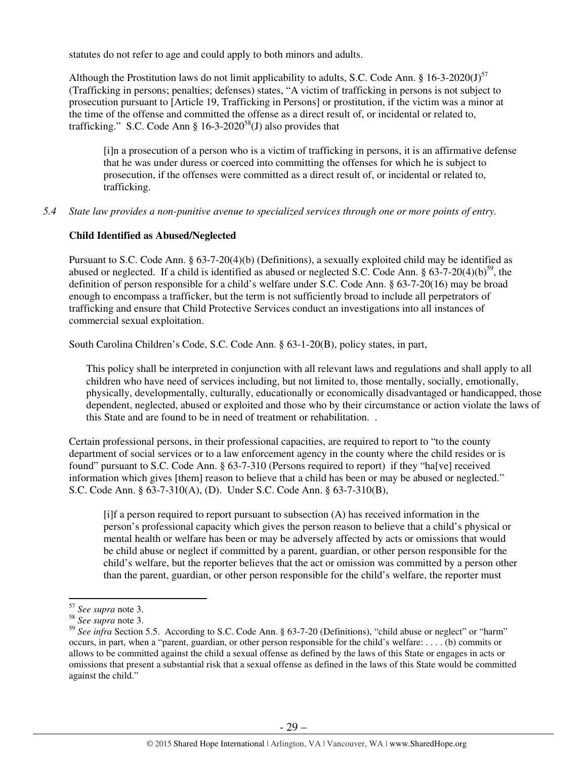statutes do not refer to age and could apply to both minors and adults.

Although the Prostitution laws do not limit applicability to adults, S.C. Code Ann. § 16-3-2020(J)<sup>57</sup> (Trafficking in persons; penalties; defenses) states, "A victim of trafficking in persons is not subject to prosecution pursuant to [Article 19, Trafficking in Persons] or prostitution, if the victim was a minor at the time of the offense and committed the offense as a direct result of, or incidental or related to, trafficking." S.C. Code Ann §  $16-3-2020^{58}$ (J) also provides that

[i]n a prosecution of a person who is a victim of trafficking in persons, it is an affirmative defense that he was under duress or coerced into committing the offenses for which he is subject to prosecution, if the offenses were committed as a direct result of, or incidental or related to, trafficking.

*5.4 State law provides a non-punitive avenue to specialized services through one or more points of entry.* 

## **Child Identified as Abused/Neglected**

Pursuant to S.C. Code Ann. § 63-7-20(4)(b) (Definitions), a sexually exploited child may be identified as abused or neglected. If a child is identified as abused or neglected S.C. Code Ann.  $\S 63-7-20(4)(b)^{59}$ , the definition of person responsible for a child's welfare under S.C. Code Ann. § 63-7-20(16) may be broad enough to encompass a trafficker, but the term is not sufficiently broad to include all perpetrators of trafficking and ensure that Child Protective Services conduct an investigations into all instances of commercial sexual exploitation.

South Carolina Children's Code, S.C. Code Ann. § 63-1-20(B), policy states, in part,

This policy shall be interpreted in conjunction with all relevant laws and regulations and shall apply to all children who have need of services including, but not limited to, those mentally, socially, emotionally, physically, developmentally, culturally, educationally or economically disadvantaged or handicapped, those dependent, neglected, abused or exploited and those who by their circumstance or action violate the laws of this State and are found to be in need of treatment or rehabilitation. .

Certain professional persons, in their professional capacities, are required to report to "to the county department of social services or to a law enforcement agency in the county where the child resides or is found" pursuant to S.C. Code Ann. § 63-7-310 (Persons required to report) if they "ha[ve] received information which gives [them] reason to believe that a child has been or may be abused or neglected." S.C. Code Ann. § 63-7-310(A), (D). Under S.C. Code Ann. § 63-7-310(B),

[i]f a person required to report pursuant to subsection (A) has received information in the person's professional capacity which gives the person reason to believe that a child's physical or mental health or welfare has been or may be adversely affected by acts or omissions that would be child abuse or neglect if committed by a parent, guardian, or other person responsible for the child's welfare, but the reporter believes that the act or omission was committed by a person other than the parent, guardian, or other person responsible for the child's welfare, the reporter must

<sup>57</sup> *See supra* note 3.

<sup>58</sup> *See supra* note 3.

<sup>&</sup>lt;sup>59</sup> See infra Section 5.5. According to S.C. Code Ann. § 63-7-20 (Definitions), "child abuse or neglect" or "harm" occurs, in part, when a "parent, guardian, or other person responsible for the child's welfare: . . . . (b) commits or allows to be committed against the child a sexual offense as defined by the laws of this State or engages in acts or omissions that present a substantial risk that a sexual offense as defined in the laws of this State would be committed against the child."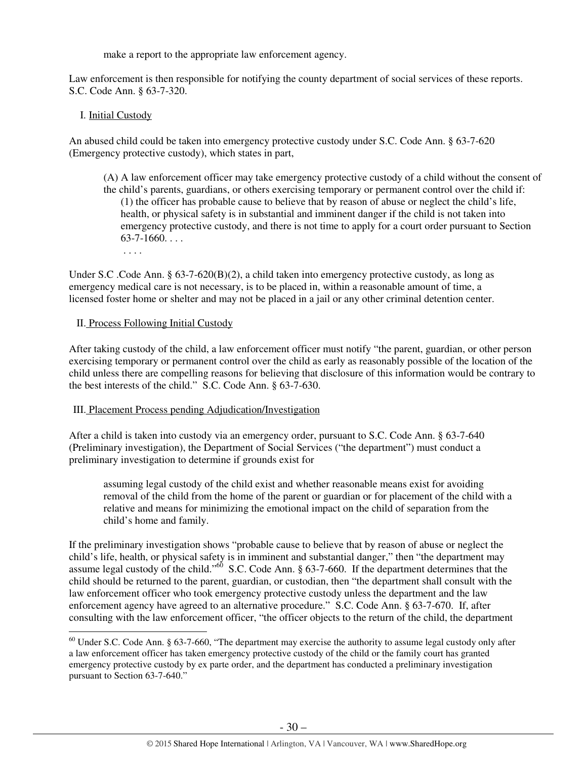make a report to the appropriate law enforcement agency.

Law enforcement is then responsible for notifying the county department of social services of these reports. S.C. Code Ann. § 63-7-320.

## I. Initial Custody

An abused child could be taken into emergency protective custody under S.C. Code Ann. § 63-7-620 (Emergency protective custody), which states in part,

- (A) A law enforcement officer may take emergency protective custody of a child without the consent of the child's parents, guardians, or others exercising temporary or permanent control over the child if: (1) the officer has probable cause to believe that by reason of abuse or neglect the child's life, health, or physical safety is in substantial and imminent danger if the child is not taken into emergency protective custody, and there is not time to apply for a court order pursuant to Section  $63-7-1660...$ 
	- . . . .

Under S.C. Code Ann. § 63-7-620(B)(2), a child taken into emergency protective custody, as long as emergency medical care is not necessary, is to be placed in, within a reasonable amount of time, a licensed foster home or shelter and may not be placed in a jail or any other criminal detention center.

## II. Process Following Initial Custody

After taking custody of the child, a law enforcement officer must notify "the parent, guardian, or other person exercising temporary or permanent control over the child as early as reasonably possible of the location of the child unless there are compelling reasons for believing that disclosure of this information would be contrary to the best interests of the child." S.C. Code Ann. § 63-7-630.

## III. Placement Process pending Adjudication/Investigation

After a child is taken into custody via an emergency order, pursuant to S.C. Code Ann. § 63-7-640 (Preliminary investigation), the Department of Social Services ("the department") must conduct a preliminary investigation to determine if grounds exist for

assuming legal custody of the child exist and whether reasonable means exist for avoiding removal of the child from the home of the parent or guardian or for placement of the child with a relative and means for minimizing the emotional impact on the child of separation from the child's home and family.

If the preliminary investigation shows "probable cause to believe that by reason of abuse or neglect the child's life, health, or physical safety is in imminent and substantial danger," then "the department may assume legal custody of the child."<sup>60</sup> S.C. Code Ann. § 63-7-660. If the department determines that the child should be returned to the parent, guardian, or custodian, then "the department shall consult with the law enforcement officer who took emergency protective custody unless the department and the law enforcement agency have agreed to an alternative procedure." S.C. Code Ann. § 63-7-670. If, after consulting with the law enforcement officer, "the officer objects to the return of the child, the department l

 $60$  Under S.C. Code Ann. § 63-7-660, "The department may exercise the authority to assume legal custody only after a law enforcement officer has taken emergency protective custody of the child or the family court has granted emergency protective custody by ex parte order, and the department has conducted a preliminary investigation pursuant to Section 63-7-640."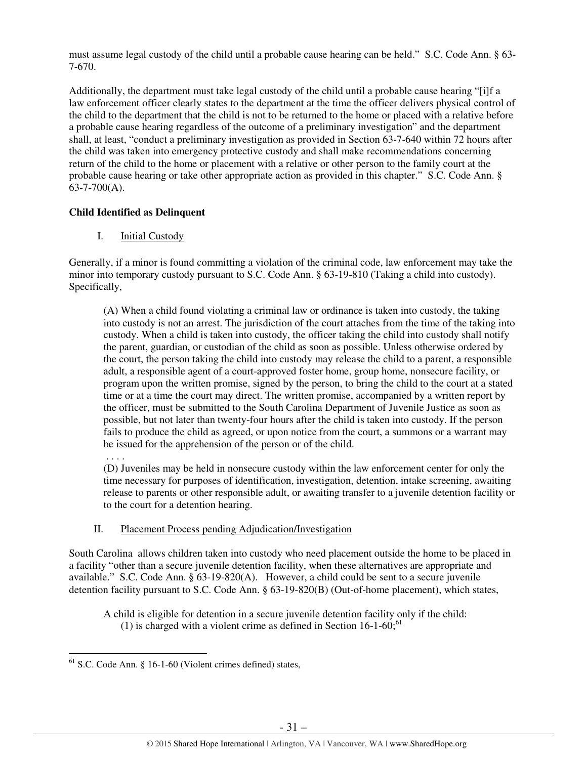must assume legal custody of the child until a probable cause hearing can be held." S.C. Code Ann. § 63- 7-670.

Additionally, the department must take legal custody of the child until a probable cause hearing "[i]f a law enforcement officer clearly states to the department at the time the officer delivers physical control of the child to the department that the child is not to be returned to the home or placed with a relative before a probable cause hearing regardless of the outcome of a preliminary investigation" and the department shall, at least, "conduct a preliminary investigation as provided in Section 63-7-640 within 72 hours after the child was taken into emergency protective custody and shall make recommendations concerning return of the child to the home or placement with a relative or other person to the family court at the probable cause hearing or take other appropriate action as provided in this chapter." S.C. Code Ann. §  $63-7-700(A)$ .

# **Child Identified as Delinquent**

I. Initial Custody

Generally, if a minor is found committing a violation of the criminal code, law enforcement may take the minor into temporary custody pursuant to S.C. Code Ann. § 63-19-810 (Taking a child into custody). Specifically,

(A) When a child found violating a criminal law or ordinance is taken into custody, the taking into custody is not an arrest. The jurisdiction of the court attaches from the time of the taking into custody. When a child is taken into custody, the officer taking the child into custody shall notify the parent, guardian, or custodian of the child as soon as possible. Unless otherwise ordered by the court, the person taking the child into custody may release the child to a parent, a responsible adult, a responsible agent of a court-approved foster home, group home, nonsecure facility, or program upon the written promise, signed by the person, to bring the child to the court at a stated time or at a time the court may direct. The written promise, accompanied by a written report by the officer, must be submitted to the South Carolina Department of Juvenile Justice as soon as possible, but not later than twenty-four hours after the child is taken into custody. If the person fails to produce the child as agreed, or upon notice from the court, a summons or a warrant may be issued for the apprehension of the person or of the child.

. . . .

l

(D) Juveniles may be held in nonsecure custody within the law enforcement center for only the time necessary for purposes of identification, investigation, detention, intake screening, awaiting release to parents or other responsible adult, or awaiting transfer to a juvenile detention facility or to the court for a detention hearing.

# II. Placement Process pending Adjudication/Investigation

South Carolina allows children taken into custody who need placement outside the home to be placed in a facility "other than a secure juvenile detention facility, when these alternatives are appropriate and available." S.C. Code Ann. § 63-19-820(A). However, a child could be sent to a secure juvenile detention facility pursuant to S.C. Code Ann. § 63-19-820(B) (Out-of-home placement), which states,

A child is eligible for detention in a secure juvenile detention facility only if the child: (1) is charged with a violent crime as defined in Section  $16$ -1-60;<sup>61</sup>

 $61$  S.C. Code Ann. § 16-1-60 (Violent crimes defined) states,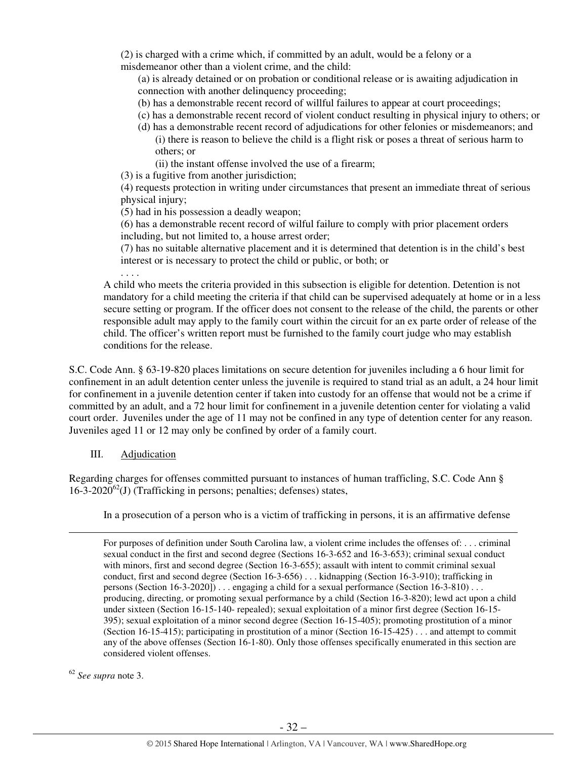(2) is charged with a crime which, if committed by an adult, would be a felony or a misdemeanor other than a violent crime, and the child:

(a) is already detained or on probation or conditional release or is awaiting adjudication in connection with another delinquency proceeding;

- (b) has a demonstrable recent record of willful failures to appear at court proceedings;
- (c) has a demonstrable recent record of violent conduct resulting in physical injury to others; or
- (d) has a demonstrable recent record of adjudications for other felonies or misdemeanors; and (i) there is reason to believe the child is a flight risk or poses a threat of serious harm to others; or
	- (ii) the instant offense involved the use of a firearm;

(3) is a fugitive from another jurisdiction;

(4) requests protection in writing under circumstances that present an immediate threat of serious physical injury;

(5) had in his possession a deadly weapon;

(6) has a demonstrable recent record of wilful failure to comply with prior placement orders including, but not limited to, a house arrest order;

(7) has no suitable alternative placement and it is determined that detention is in the child's best interest or is necessary to protect the child or public, or both; or

. . . . A child who meets the criteria provided in this subsection is eligible for detention. Detention is not mandatory for a child meeting the criteria if that child can be supervised adequately at home or in a less secure setting or program. If the officer does not consent to the release of the child, the parents or other responsible adult may apply to the family court within the circuit for an ex parte order of release of the child. The officer's written report must be furnished to the family court judge who may establish conditions for the release.

S.C. Code Ann. § 63-19-820 places limitations on secure detention for juveniles including a 6 hour limit for confinement in an adult detention center unless the juvenile is required to stand trial as an adult, a 24 hour limit for confinement in a juvenile detention center if taken into custody for an offense that would not be a crime if committed by an adult, and a 72 hour limit for confinement in a juvenile detention center for violating a valid court order. Juveniles under the age of 11 may not be confined in any type of detention center for any reason. Juveniles aged 11 or 12 may only be confined by order of a family court.

## III. Adjudication

Regarding charges for offenses committed pursuant to instances of human trafficling, S.C. Code Ann §  $16-3-2020^{62}$ (J) (Trafficking in persons; penalties; defenses) states,

In a prosecution of a person who is a victim of trafficking in persons, it is an affirmative defense

For purposes of definition under South Carolina law, a violent crime includes the offenses of: . . . criminal sexual conduct in the first and second degree (Sections 16-3-652 and 16-3-653); criminal sexual conduct with minors, first and second degree (Section 16-3-655); assault with intent to commit criminal sexual conduct, first and second degree (Section 16-3-656) . . . kidnapping (Section 16-3-910); trafficking in persons (Section 16-3-2020]) . . . engaging a child for a sexual performance (Section 16-3-810) . . . producing, directing, or promoting sexual performance by a child (Section 16-3-820); lewd act upon a child under sixteen (Section 16-15-140- repealed); sexual exploitation of a minor first degree (Section 16-15- 395); sexual exploitation of a minor second degree (Section 16-15-405); promoting prostitution of a minor (Section 16-15-415); participating in prostitution of a minor (Section 16-15-425) . . . and attempt to commit any of the above offenses (Section 16-1-80). Only those offenses specifically enumerated in this section are considered violent offenses.

<sup>62</sup> *See supra* note 3.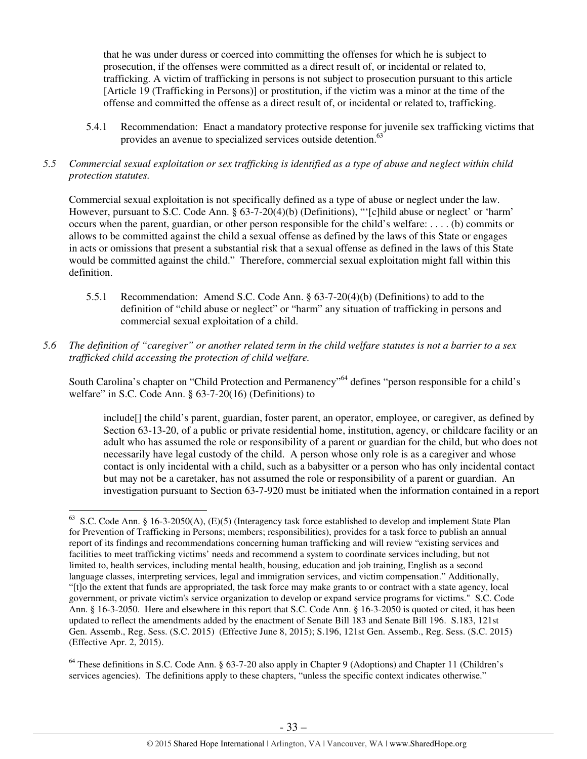that he was under duress or coerced into committing the offenses for which he is subject to prosecution, if the offenses were committed as a direct result of, or incidental or related to, trafficking. A victim of trafficking in persons is not subject to prosecution pursuant to this article [Article 19 (Trafficking in Persons)] or prostitution, if the victim was a minor at the time of the offense and committed the offense as a direct result of, or incidental or related to, trafficking.

- 5.4.1 Recommendation: Enact a mandatory protective response for juvenile sex trafficking victims that provides an avenue to specialized services outside detention.<sup>63</sup>
- *5.5 Commercial sexual exploitation or sex trafficking is identified as a type of abuse and neglect within child protection statutes.*

Commercial sexual exploitation is not specifically defined as a type of abuse or neglect under the law. However, pursuant to S.C. Code Ann. § 63-7-20(4)(b) (Definitions), "'[c]hild abuse or neglect' or 'harm' occurs when the parent, guardian, or other person responsible for the child's welfare: . . . . (b) commits or allows to be committed against the child a sexual offense as defined by the laws of this State or engages in acts or omissions that present a substantial risk that a sexual offense as defined in the laws of this State would be committed against the child." Therefore, commercial sexual exploitation might fall within this definition.

- 5.5.1 Recommendation: Amend S.C. Code Ann. § 63-7-20(4)(b) (Definitions) to add to the definition of "child abuse or neglect" or "harm" any situation of trafficking in persons and commercial sexual exploitation of a child.
- *5.6 The definition of "caregiver" or another related term in the child welfare statutes is not a barrier to a sex trafficked child accessing the protection of child welfare.*

South Carolina's chapter on "Child Protection and Permanency"<sup>64</sup> defines "person responsible for a child's welfare" in S.C. Code Ann. § 63-7-20(16) (Definitions) to

include[] the child's parent, guardian, foster parent, an operator, employee, or caregiver, as defined by Section 63-13-20, of a public or private residential home, institution, agency, or childcare facility or an adult who has assumed the role or responsibility of a parent or guardian for the child, but who does not necessarily have legal custody of the child. A person whose only role is as a caregiver and whose contact is only incidental with a child, such as a babysitter or a person who has only incidental contact but may not be a caretaker, has not assumed the role or responsibility of a parent or guardian. An investigation pursuant to Section 63-7-920 must be initiated when the information contained in a report

<sup>&</sup>lt;sup>63</sup> S.C. Code Ann. § 16-3-2050(A), (E)(5) (Interagency task force established to develop and implement State Plan for Prevention of Trafficking in Persons; members; responsibilities), provides for a task force to publish an annual report of its findings and recommendations concerning human trafficking and will review "existing services and facilities to meet trafficking victims' needs and recommend a system to coordinate services including, but not limited to, health services, including mental health, housing, education and job training, English as a second language classes, interpreting services, legal and immigration services, and victim compensation." Additionally, "[t]o the extent that funds are appropriated, the task force may make grants to or contract with a state agency, local government, or private victim's service organization to develop or expand service programs for victims." S.C. Code Ann. § 16-3-2050. Here and elsewhere in this report that S.C. Code Ann. § 16-3-2050 is quoted or cited, it has been updated to reflect the amendments added by the enactment of Senate Bill 183 and Senate Bill 196. S.183, 121st Gen. Assemb., Reg. Sess. (S.C. 2015) (Effective June 8, 2015); S.196, 121st Gen. Assemb., Reg. Sess. (S.C. 2015) (Effective Apr. 2, 2015).

 $64$  These definitions in S.C. Code Ann. § 63-7-20 also apply in Chapter 9 (Adoptions) and Chapter 11 (Children's services agencies). The definitions apply to these chapters, "unless the specific context indicates otherwise."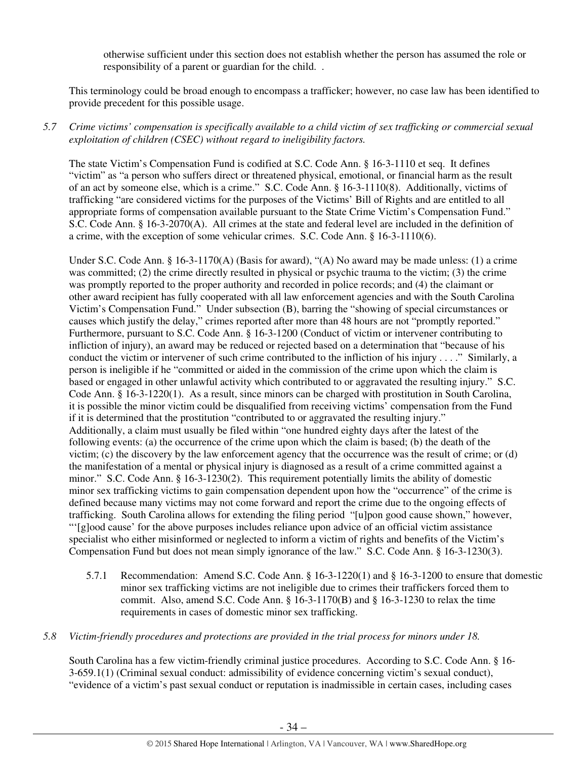otherwise sufficient under this section does not establish whether the person has assumed the role or responsibility of a parent or guardian for the child. .

This terminology could be broad enough to encompass a trafficker; however, no case law has been identified to provide precedent for this possible usage.

# *5.7 Crime victims' compensation is specifically available to a child victim of sex trafficking or commercial sexual exploitation of children (CSEC) without regard to ineligibility factors.*

The state Victim's Compensation Fund is codified at S.C. Code Ann. § 16-3-1110 et seq. It defines "victim" as "a person who suffers direct or threatened physical, emotional, or financial harm as the result of an act by someone else, which is a crime." S.C. Code Ann. § 16-3-1110(8). Additionally, victims of trafficking "are considered victims for the purposes of the Victims' Bill of Rights and are entitled to all appropriate forms of compensation available pursuant to the State Crime Victim's Compensation Fund." S.C. Code Ann. § 16-3-2070(A). All crimes at the state and federal level are included in the definition of a crime, with the exception of some vehicular crimes. S.C. Code Ann. § 16-3-1110(6).

Under S.C. Code Ann. § 16-3-1170(A) (Basis for award), "(A) No award may be made unless: (1) a crime was committed; (2) the crime directly resulted in physical or psychic trauma to the victim; (3) the crime was promptly reported to the proper authority and recorded in police records; and (4) the claimant or other award recipient has fully cooperated with all law enforcement agencies and with the South Carolina Victim's Compensation Fund." Under subsection (B), barring the "showing of special circumstances or causes which justify the delay," crimes reported after more than 48 hours are not "promptly reported." Furthermore, pursuant to S.C. Code Ann. § 16-3-1200 (Conduct of victim or intervener contributing to infliction of injury), an award may be reduced or rejected based on a determination that "because of his conduct the victim or intervener of such crime contributed to the infliction of his injury . . . ." Similarly, a person is ineligible if he "committed or aided in the commission of the crime upon which the claim is based or engaged in other unlawful activity which contributed to or aggravated the resulting injury." S.C. Code Ann. § 16-3-1220(1). As a result, since minors can be charged with prostitution in South Carolina, it is possible the minor victim could be disqualified from receiving victims' compensation from the Fund if it is determined that the prostitution "contributed to or aggravated the resulting injury." Additionally, a claim must usually be filed within "one hundred eighty days after the latest of the following events: (a) the occurrence of the crime upon which the claim is based; (b) the death of the victim; (c) the discovery by the law enforcement agency that the occurrence was the result of crime; or (d) the manifestation of a mental or physical injury is diagnosed as a result of a crime committed against a minor." S.C. Code Ann. § 16-3-1230(2). This requirement potentially limits the ability of domestic minor sex trafficking victims to gain compensation dependent upon how the "occurrence" of the crime is defined because many victims may not come forward and report the crime due to the ongoing effects of trafficking. South Carolina allows for extending the filing period "[u]pon good cause shown," however, "'[g]ood cause' for the above purposes includes reliance upon advice of an official victim assistance specialist who either misinformed or neglected to inform a victim of rights and benefits of the Victim's Compensation Fund but does not mean simply ignorance of the law." S.C. Code Ann. § 16-3-1230(3).

5.7.1 Recommendation: Amend S.C. Code Ann. § 16-3-1220(1) and § 16-3-1200 to ensure that domestic minor sex trafficking victims are not ineligible due to crimes their traffickers forced them to commit. Also, amend S.C. Code Ann.  $\S$  16-3-1170(B) and  $\S$  16-3-1230 to relax the time requirements in cases of domestic minor sex trafficking.

## *5.8 Victim-friendly procedures and protections are provided in the trial process for minors under 18.*

South Carolina has a few victim-friendly criminal justice procedures. According to S.C. Code Ann. § 16- 3-659.1(1) (Criminal sexual conduct: admissibility of evidence concerning victim's sexual conduct), "evidence of a victim's past sexual conduct or reputation is inadmissible in certain cases, including cases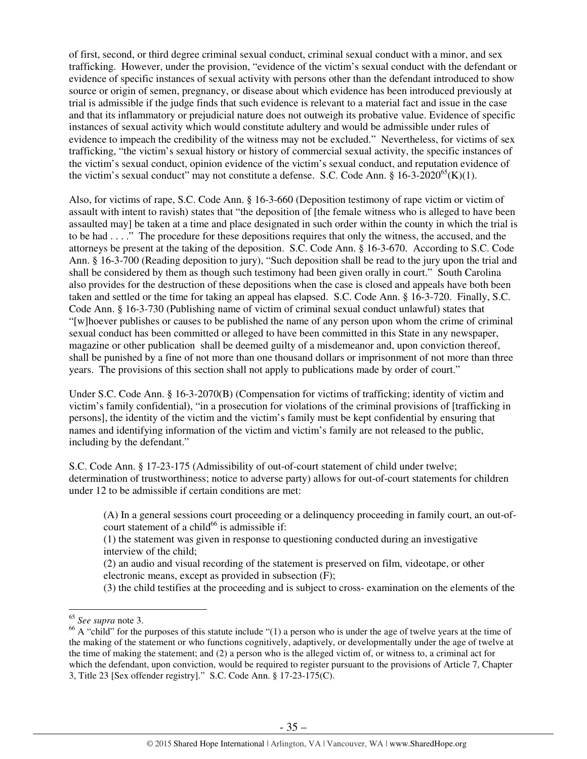of first, second, or third degree criminal sexual conduct, criminal sexual conduct with a minor, and sex trafficking. However, under the provision, "evidence of the victim's sexual conduct with the defendant or evidence of specific instances of sexual activity with persons other than the defendant introduced to show source or origin of semen, pregnancy, or disease about which evidence has been introduced previously at trial is admissible if the judge finds that such evidence is relevant to a material fact and issue in the case and that its inflammatory or prejudicial nature does not outweigh its probative value. Evidence of specific instances of sexual activity which would constitute adultery and would be admissible under rules of evidence to impeach the credibility of the witness may not be excluded." Nevertheless, for victims of sex trafficking, "the victim's sexual history or history of commercial sexual activity, the specific instances of the victim's sexual conduct, opinion evidence of the victim's sexual conduct, and reputation evidence of the victim's sexual conduct" may not constitute a defense. S.C. Code Ann. §  $16-3-2020^{65}$ (K)(1).

Also, for victims of rape, S.C. Code Ann. § 16-3-660 (Deposition testimony of rape victim or victim of assault with intent to ravish) states that "the deposition of [the female witness who is alleged to have been assaulted may] be taken at a time and place designated in such order within the county in which the trial is to be had . . . ." The procedure for these depositions requires that only the witness, the accused, and the attorneys be present at the taking of the deposition. S.C. Code Ann. § 16-3-670. According to S.C. Code Ann. § 16-3-700 (Reading deposition to jury), "Such deposition shall be read to the jury upon the trial and shall be considered by them as though such testimony had been given orally in court." South Carolina also provides for the destruction of these depositions when the case is closed and appeals have both been taken and settled or the time for taking an appeal has elapsed. S.C. Code Ann. § 16-3-720. Finally, S.C. Code Ann. § 16-3-730 (Publishing name of victim of criminal sexual conduct unlawful) states that "[w]hoever publishes or causes to be published the name of any person upon whom the crime of criminal sexual conduct has been committed or alleged to have been committed in this State in any newspaper, magazine or other publication shall be deemed guilty of a misdemeanor and, upon conviction thereof, shall be punished by a fine of not more than one thousand dollars or imprisonment of not more than three years. The provisions of this section shall not apply to publications made by order of court."

Under S.C. Code Ann. § 16-3-2070(B) (Compensation for victims of trafficking; identity of victim and victim's family confidential), "in a prosecution for violations of the criminal provisions of [trafficking in persons], the identity of the victim and the victim's family must be kept confidential by ensuring that names and identifying information of the victim and victim's family are not released to the public, including by the defendant."

S.C. Code Ann. § 17-23-175 (Admissibility of out-of-court statement of child under twelve; determination of trustworthiness; notice to adverse party) allows for out-of-court statements for children under 12 to be admissible if certain conditions are met:

(A) In a general sessions court proceeding or a delinquency proceeding in family court, an out-ofcourt statement of a child<sup>66</sup> is admissible if:

(1) the statement was given in response to questioning conducted during an investigative interview of the child;

(2) an audio and visual recording of the statement is preserved on film, videotape, or other electronic means, except as provided in subsection (F);

(3) the child testifies at the proceeding and is subject to cross- examination on the elements of the

<sup>65</sup> *See supra* note 3.

 $66$  A "child" for the purposes of this statute include "(1) a person who is under the age of twelve years at the time of the making of the statement or who functions cognitively, adaptively, or developmentally under the age of twelve at the time of making the statement; and (2) a person who is the alleged victim of, or witness to, a criminal act for which the defendant, upon conviction, would be required to register pursuant to the provisions of Article 7, Chapter 3, Title 23 [Sex offender registry]." S.C. Code Ann. § 17-23-175(C).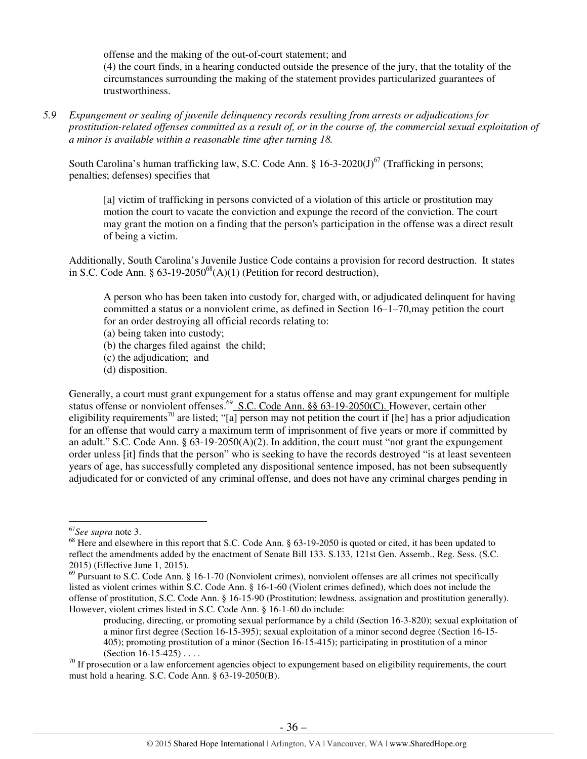offense and the making of the out-of-court statement; and (4) the court finds, in a hearing conducted outside the presence of the jury, that the totality of the circumstances surrounding the making of the statement provides particularized guarantees of trustworthiness.

*5.9 Expungement or sealing of juvenile delinquency records resulting from arrests or adjudications for prostitution-related offenses committed as a result of, or in the course of, the commercial sexual exploitation of a minor is available within a reasonable time after turning 18.* 

South Carolina's human trafficking law, S.C. Code Ann. §  $16-3-2020(J)^{67}$  (Trafficking in persons; penalties; defenses) specifies that

[a] victim of trafficking in persons convicted of a violation of this article or prostitution may motion the court to vacate the conviction and expunge the record of the conviction. The court may grant the motion on a finding that the person's participation in the offense was a direct result of being a victim.

Additionally, South Carolina's Juvenile Justice Code contains a provision for record destruction. It states in S.C. Code Ann. §  $63-19-2050^{68}$ (A)(1) (Petition for record destruction),

A person who has been taken into custody for, charged with, or adjudicated delinquent for having committed a status or a nonviolent crime, as defined in Section 16–1–70,may petition the court for an order destroying all official records relating to:

- (a) being taken into custody;
- (b) the charges filed against the child;
- (c) the adjudication; and
- (d) disposition.

Generally, a court must grant expungement for a status offense and may grant expungement for multiple status offense or nonviolent offenses.<sup>69</sup> S.C. Code Ann. §§ 63-19-2050(C). However, certain other eligibility requirements<sup>70</sup> are listed; "[a] person may not petition the court if [he] has a prior adjudication for an offense that would carry a maximum term of imprisonment of five years or more if committed by an adult." S.C. Code Ann.  $\S 63-19-2050(A)(2)$ . In addition, the court must "not grant the expungement order unless [it] finds that the person" who is seeking to have the records destroyed "is at least seventeen years of age, has successfully completed any dispositional sentence imposed, has not been subsequently adjudicated for or convicted of any criminal offense, and does not have any criminal charges pending in

<sup>67</sup>*See supra* note 3.

<sup>&</sup>lt;sup>68</sup> Here and elsewhere in this report that S.C. Code Ann. § 63-19-2050 is quoted or cited, it has been updated to reflect the amendments added by the enactment of Senate Bill 133. S.133, 121st Gen. Assemb., Reg. Sess. (S.C. 2015) (Effective June 1, 2015).

 $69$  Pursuant to S.C. Code Ann. § 16-1-70 (Nonviolent crimes), nonviolent offenses are all crimes not specifically listed as violent crimes within S.C. Code Ann. § 16-1-60 (Violent crimes defined), which does not include the offense of prostitution, S.C. Code Ann. § 16-15-90 (Prostitution; lewdness, assignation and prostitution generally). However, violent crimes listed in S.C. Code Ann. § 16-1-60 do include:

producing, directing, or promoting sexual performance by a child (Section 16-3-820); sexual exploitation of a minor first degree (Section 16-15-395); sexual exploitation of a minor second degree (Section 16-15- 405); promoting prostitution of a minor (Section 16-15-415); participating in prostitution of a minor (Section 16-15-425) . . . .

 $70$  If prosecution or a law enforcement agencies object to expungement based on eligibility requirements, the court must hold a hearing. S.C. Code Ann. § 63-19-2050(B).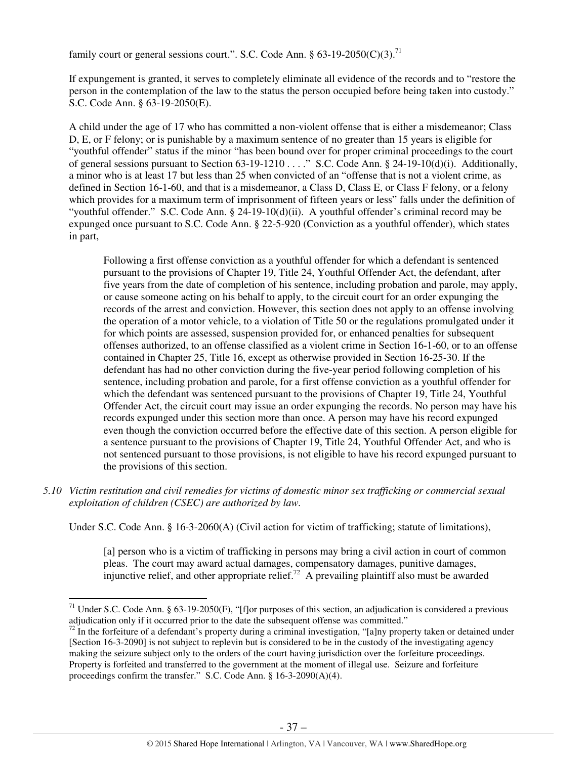family court or general sessions court.". S.C. Code Ann.  $\S 63-19-2050(C)(3)$ .<sup>71</sup>

If expungement is granted, it serves to completely eliminate all evidence of the records and to "restore the person in the contemplation of the law to the status the person occupied before being taken into custody." S.C. Code Ann. § 63-19-2050(E).

A child under the age of 17 who has committed a non-violent offense that is either a misdemeanor; Class D, E, or F felony; or is punishable by a maximum sentence of no greater than 15 years is eligible for "youthful offender" status if the minor "has been bound over for proper criminal proceedings to the court of general sessions pursuant to Section 63-19-1210 . . . ." S.C. Code Ann. § 24-19-10(d)(i). Additionally, a minor who is at least 17 but less than 25 when convicted of an "offense that is not a violent crime, as defined in Section 16-1-60, and that is a misdemeanor, a Class D, Class E, or Class F felony, or a felony which provides for a maximum term of imprisonment of fifteen years or less" falls under the definition of "youthful offender." S.C. Code Ann. § 24-19-10(d)(ii). A youthful offender's criminal record may be expunged once pursuant to S.C. Code Ann. § 22-5-920 (Conviction as a youthful offender), which states in part,

Following a first offense conviction as a youthful offender for which a defendant is sentenced pursuant to the provisions of Chapter 19, Title 24, Youthful Offender Act, the defendant, after five years from the date of completion of his sentence, including probation and parole, may apply, or cause someone acting on his behalf to apply, to the circuit court for an order expunging the records of the arrest and conviction. However, this section does not apply to an offense involving the operation of a motor vehicle, to a violation of Title 50 or the regulations promulgated under it for which points are assessed, suspension provided for, or enhanced penalties for subsequent offenses authorized, to an offense classified as a violent crime in Section 16-1-60, or to an offense contained in Chapter 25, Title 16, except as otherwise provided in Section 16-25-30. If the defendant has had no other conviction during the five-year period following completion of his sentence, including probation and parole, for a first offense conviction as a youthful offender for which the defendant was sentenced pursuant to the provisions of Chapter 19, Title 24, Youthful Offender Act, the circuit court may issue an order expunging the records. No person may have his records expunged under this section more than once. A person may have his record expunged even though the conviction occurred before the effective date of this section. A person eligible for a sentence pursuant to the provisions of Chapter 19, Title 24, Youthful Offender Act, and who is not sentenced pursuant to those provisions, is not eligible to have his record expunged pursuant to the provisions of this section.

*5.10 Victim restitution and civil remedies for victims of domestic minor sex trafficking or commercial sexual exploitation of children (CSEC) are authorized by law.* 

Under S.C. Code Ann. § 16-3-2060(A) (Civil action for victim of trafficking; statute of limitations),

[a] person who is a victim of trafficking in persons may bring a civil action in court of common pleas. The court may award actual damages, compensatory damages, punitive damages, injunctive relief, and other appropriate relief.<sup>72</sup> A prevailing plaintiff also must be awarded

<sup>&</sup>lt;sup>71</sup> Under S.C. Code Ann. § 63-19-2050(F), "[f]or purposes of this section, an adjudication is considered a previous adjudication only if it occurred prior to the date the subsequent offense was committed."

 $72$  In the forfeiture of a defendant's property during a criminal investigation, "[a]ny property taken or detained under [Section 16-3-2090] is not subject to replevin but is considered to be in the custody of the investigating agency making the seizure subject only to the orders of the court having jurisdiction over the forfeiture proceedings. Property is forfeited and transferred to the government at the moment of illegal use. Seizure and forfeiture proceedings confirm the transfer." S.C. Code Ann. § 16-3-2090(A)(4).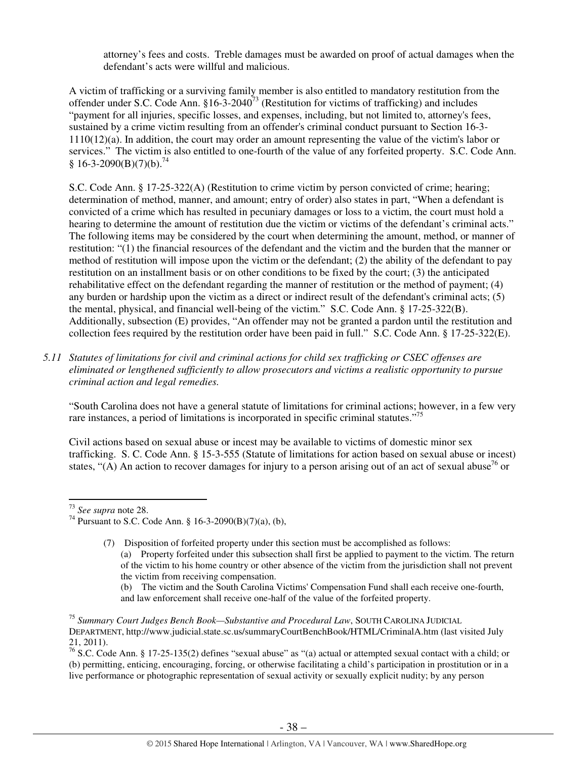attorney's fees and costs. Treble damages must be awarded on proof of actual damages when the defendant's acts were willful and malicious.

A victim of trafficking or a surviving family member is also entitled to mandatory restitution from the offender under S.C. Code Ann.  $$16-3-2040^{73}$  (Restitution for victims of trafficking) and includes "payment for all injuries, specific losses, and expenses, including, but not limited to, attorney's fees, sustained by a crime victim resulting from an offender's criminal conduct pursuant to Section 16-3- 1110(12)(a). In addition, the court may order an amount representing the value of the victim's labor or services." The victim is also entitled to one-fourth of the value of any forfeited property. S.C. Code Ann.  $$16-3-2090(B)(7)(b).^{74}$ 

S.C. Code Ann. § 17-25-322(A) (Restitution to crime victim by person convicted of crime; hearing; determination of method, manner, and amount; entry of order) also states in part, "When a defendant is convicted of a crime which has resulted in pecuniary damages or loss to a victim, the court must hold a hearing to determine the amount of restitution due the victim or victims of the defendant's criminal acts." The following items may be considered by the court when determining the amount, method, or manner of restitution: "(1) the financial resources of the defendant and the victim and the burden that the manner or method of restitution will impose upon the victim or the defendant; (2) the ability of the defendant to pay restitution on an installment basis or on other conditions to be fixed by the court; (3) the anticipated rehabilitative effect on the defendant regarding the manner of restitution or the method of payment; (4) any burden or hardship upon the victim as a direct or indirect result of the defendant's criminal acts; (5) the mental, physical, and financial well-being of the victim." S.C. Code Ann. § 17-25-322(B). Additionally, subsection (E) provides, "An offender may not be granted a pardon until the restitution and collection fees required by the restitution order have been paid in full." S.C. Code Ann. § 17-25-322(E).

*5.11 Statutes of limitations for civil and criminal actions for child sex trafficking or CSEC offenses are eliminated or lengthened sufficiently to allow prosecutors and victims a realistic opportunity to pursue criminal action and legal remedies.* 

"South Carolina does not have a general statute of limitations for criminal actions; however, in a few very rare instances, a period of limitations is incorporated in specific criminal statutes."<sup>75</sup>

Civil actions based on sexual abuse or incest may be available to victims of domestic minor sex trafficking. S. C. Code Ann. § 15-3-555 (Statute of limitations for action based on sexual abuse or incest) states, "(A) An action to recover damages for injury to a person arising out of an act of sexual abuse<sup>76</sup> or

l

(b) The victim and the South Carolina Victims' Compensation Fund shall each receive one-fourth, and law enforcement shall receive one-half of the value of the forfeited property.

<sup>73</sup> *See supra* note 28.

<sup>&</sup>lt;sup>74</sup> Pursuant to S.C. Code Ann. § 16-3-2090(B)(7)(a), (b),

<sup>(7)</sup> Disposition of forfeited property under this section must be accomplished as follows: (a) Property forfeited under this subsection shall first be applied to payment to the victim. The return of the victim to his home country or other absence of the victim from the jurisdiction shall not prevent the victim from receiving compensation.

<sup>75</sup> *Summary Court Judges Bench Book—Substantive and Procedural Law*, SOUTH CAROLINA JUDICIAL DEPARTMENT, http://www.judicial.state.sc.us/summaryCourtBenchBook/HTML/CriminalA.htm (last visited July 21, 2011).

<sup>&</sup>lt;sup>76</sup> S.C. Code Ann. § 17-25-135(2) defines "sexual abuse" as "(a) actual or attempted sexual contact with a child; or (b) permitting, enticing, encouraging, forcing, or otherwise facilitating a child's participation in prostitution or in a live performance or photographic representation of sexual activity or sexually explicit nudity; by any person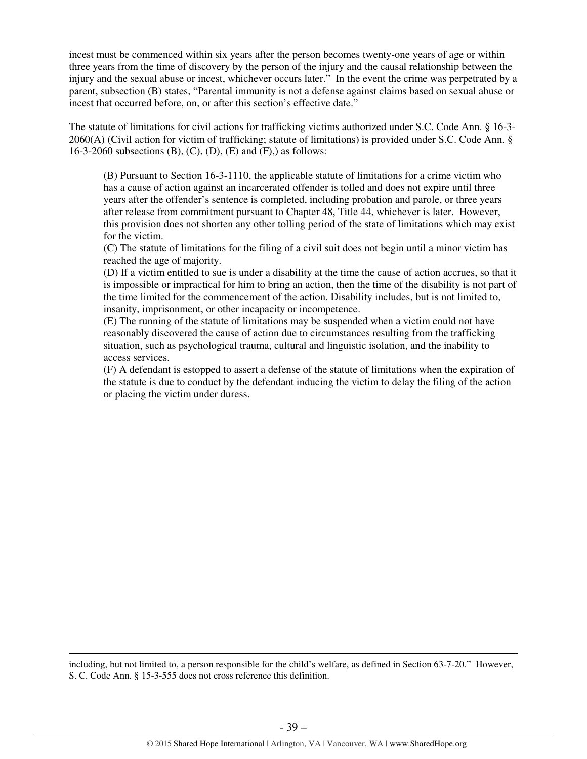incest must be commenced within six years after the person becomes twenty-one years of age or within three years from the time of discovery by the person of the injury and the causal relationship between the injury and the sexual abuse or incest, whichever occurs later." In the event the crime was perpetrated by a parent, subsection (B) states, "Parental immunity is not a defense against claims based on sexual abuse or incest that occurred before, on, or after this section's effective date."

The statute of limitations for civil actions for trafficking victims authorized under S.C. Code Ann. § 16-3- 2060(A) (Civil action for victim of trafficking; statute of limitations) is provided under S.C. Code Ann. § 16-3-2060 subsections  $(B)$ ,  $(C)$ ,  $(D)$ ,  $(E)$  and  $(F)$ , as follows:

(B) Pursuant to Section 16-3-1110, the applicable statute of limitations for a crime victim who has a cause of action against an incarcerated offender is tolled and does not expire until three years after the offender's sentence is completed, including probation and parole, or three years after release from commitment pursuant to Chapter 48, Title 44, whichever is later. However, this provision does not shorten any other tolling period of the state of limitations which may exist for the victim.

(C) The statute of limitations for the filing of a civil suit does not begin until a minor victim has reached the age of majority.

(D) If a victim entitled to sue is under a disability at the time the cause of action accrues, so that it is impossible or impractical for him to bring an action, then the time of the disability is not part of the time limited for the commencement of the action. Disability includes, but is not limited to, insanity, imprisonment, or other incapacity or incompetence.

(E) The running of the statute of limitations may be suspended when a victim could not have reasonably discovered the cause of action due to circumstances resulting from the trafficking situation, such as psychological trauma, cultural and linguistic isolation, and the inability to access services.

(F) A defendant is estopped to assert a defense of the statute of limitations when the expiration of the statute is due to conduct by the defendant inducing the victim to delay the filing of the action or placing the victim under duress.

including, but not limited to, a person responsible for the child's welfare, as defined in Section 63-7-20." However, S. C. Code Ann. § 15-3-555 does not cross reference this definition.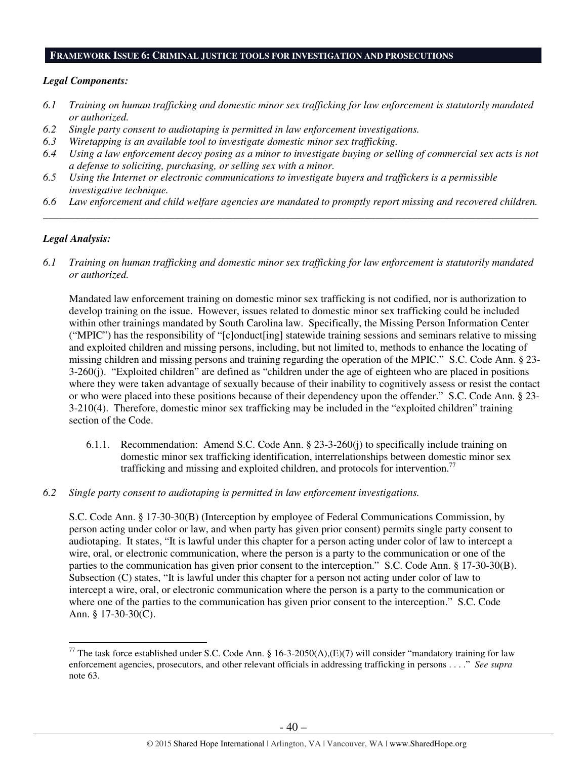## **FRAMEWORK ISSUE 6: CRIMINAL JUSTICE TOOLS FOR INVESTIGATION AND PROSECUTIONS**

## *Legal Components:*

- *6.1 Training on human trafficking and domestic minor sex trafficking for law enforcement is statutorily mandated or authorized.*
- *6.2 Single party consent to audiotaping is permitted in law enforcement investigations.*
- *6.3 Wiretapping is an available tool to investigate domestic minor sex trafficking.*
- *6.4 Using a law enforcement decoy posing as a minor to investigate buying or selling of commercial sex acts is not a defense to soliciting, purchasing, or selling sex with a minor.*
- *6.5 Using the Internet or electronic communications to investigate buyers and traffickers is a permissible investigative technique.*
- *6.6 Law enforcement and child welfare agencies are mandated to promptly report missing and recovered children. \_\_\_\_\_\_\_\_\_\_\_\_\_\_\_\_\_\_\_\_\_\_\_\_\_\_\_\_\_\_\_\_\_\_\_\_\_\_\_\_\_\_\_\_\_\_\_\_\_\_\_\_\_\_\_\_\_\_\_\_\_\_\_\_\_\_\_\_\_\_\_\_\_\_\_\_\_\_\_\_\_\_\_\_\_\_\_\_\_\_\_\_\_\_*

## *Legal Analysis:*

l

*6.1 Training on human trafficking and domestic minor sex trafficking for law enforcement is statutorily mandated or authorized.* 

Mandated law enforcement training on domestic minor sex trafficking is not codified, nor is authorization to develop training on the issue. However, issues related to domestic minor sex trafficking could be included within other trainings mandated by South Carolina law. Specifically, the Missing Person Information Center ("MPIC") has the responsibility of "[c]onduct[ing] statewide training sessions and seminars relative to missing and exploited children and missing persons, including, but not limited to, methods to enhance the locating of missing children and missing persons and training regarding the operation of the MPIC." S.C. Code Ann. § 23- 3-260(j). "Exploited children" are defined as "children under the age of eighteen who are placed in positions where they were taken advantage of sexually because of their inability to cognitively assess or resist the contact or who were placed into these positions because of their dependency upon the offender." S.C. Code Ann. § 23- 3-210(4). Therefore, domestic minor sex trafficking may be included in the "exploited children" training section of the Code.

- 6.1.1. Recommendation: Amend S.C. Code Ann. § 23-3-260(j) to specifically include training on domestic minor sex trafficking identification, interrelationships between domestic minor sex trafficking and missing and exploited children, and protocols for intervention.<sup>77</sup>
- *6.2 Single party consent to audiotaping is permitted in law enforcement investigations.*

S.C. Code Ann. § 17-30-30(B) (Interception by employee of Federal Communications Commission, by person acting under color or law, and when party has given prior consent) permits single party consent to audiotaping. It states, "It is lawful under this chapter for a person acting under color of law to intercept a wire, oral, or electronic communication, where the person is a party to the communication or one of the parties to the communication has given prior consent to the interception." S.C. Code Ann. § 17-30-30(B). Subsection (C) states, "It is lawful under this chapter for a person not acting under color of law to intercept a wire, oral, or electronic communication where the person is a party to the communication or where one of the parties to the communication has given prior consent to the interception." S.C. Code Ann. § 17-30-30(C).

<sup>&</sup>lt;sup>77</sup> The task force established under S.C. Code Ann. § 16-3-2050(A),(E)(7) will consider "mandatory training for law enforcement agencies, prosecutors, and other relevant officials in addressing trafficking in persons . . . ." *See supra* note 63.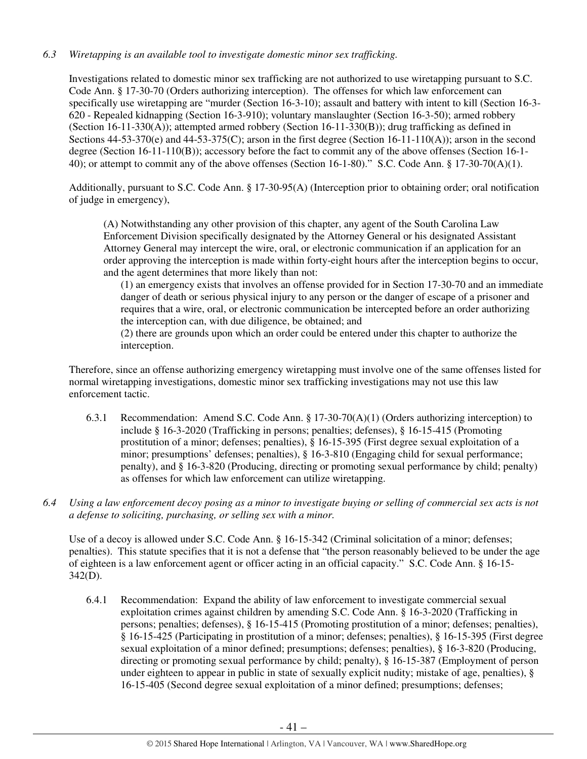# *6.3 Wiretapping is an available tool to investigate domestic minor sex trafficking.*

Investigations related to domestic minor sex trafficking are not authorized to use wiretapping pursuant to S.C. Code Ann. § 17-30-70 (Orders authorizing interception). The offenses for which law enforcement can specifically use wiretapping are "murder (Section 16-3-10); assault and battery with intent to kill (Section 16-3- 620 - Repealed kidnapping (Section 16-3-910); voluntary manslaughter (Section 16-3-50); armed robbery (Section 16-11-330(A)); attempted armed robbery (Section 16-11-330(B)); drug trafficking as defined in Sections  $44-53-370(e)$  and  $44-53-375(C)$ ; arson in the first degree (Section 16-11-110(A)); arson in the second degree (Section 16-11-110(B)); accessory before the fact to commit any of the above offenses (Section 16-1- 40); or attempt to commit any of the above offenses (Section 16-1-80)." S.C. Code Ann. § 17-30-70(A)(1).

Additionally, pursuant to S.C. Code Ann. § 17-30-95(A) (Interception prior to obtaining order; oral notification of judge in emergency),

(A) Notwithstanding any other provision of this chapter, any agent of the South Carolina Law Enforcement Division specifically designated by the Attorney General or his designated Assistant Attorney General may intercept the wire, oral, or electronic communication if an application for an order approving the interception is made within forty-eight hours after the interception begins to occur, and the agent determines that more likely than not:

(1) an emergency exists that involves an offense provided for in Section 17-30-70 and an immediate danger of death or serious physical injury to any person or the danger of escape of a prisoner and requires that a wire, oral, or electronic communication be intercepted before an order authorizing the interception can, with due diligence, be obtained; and

(2) there are grounds upon which an order could be entered under this chapter to authorize the interception.

Therefore, since an offense authorizing emergency wiretapping must involve one of the same offenses listed for normal wiretapping investigations, domestic minor sex trafficking investigations may not use this law enforcement tactic.

- 6.3.1 Recommendation: Amend S.C. Code Ann. § 17-30-70(A)(1) (Orders authorizing interception) to include § 16-3-2020 (Trafficking in persons; penalties; defenses), § 16-15-415 (Promoting prostitution of a minor; defenses; penalties), § 16-15-395 (First degree sexual exploitation of a minor; presumptions' defenses; penalties), § 16-3-810 (Engaging child for sexual performance; penalty), and § 16-3-820 (Producing, directing or promoting sexual performance by child; penalty) as offenses for which law enforcement can utilize wiretapping.
- *6.4 Using a law enforcement decoy posing as a minor to investigate buying or selling of commercial sex acts is not a defense to soliciting, purchasing, or selling sex with a minor.*

Use of a decoy is allowed under S.C. Code Ann. § 16-15-342 (Criminal solicitation of a minor; defenses; penalties). This statute specifies that it is not a defense that "the person reasonably believed to be under the age of eighteen is a law enforcement agent or officer acting in an official capacity." S.C. Code Ann. § 16-15- 342(D).

6.4.1 Recommendation: Expand the ability of law enforcement to investigate commercial sexual exploitation crimes against children by amending S.C. Code Ann. § 16-3-2020 (Trafficking in persons; penalties; defenses), § 16-15-415 (Promoting prostitution of a minor; defenses; penalties), § 16-15-425 (Participating in prostitution of a minor; defenses; penalties), § 16-15-395 (First degree sexual exploitation of a minor defined; presumptions; defenses; penalties), § 16-3-820 (Producing, directing or promoting sexual performance by child; penalty), § 16-15-387 (Employment of person under eighteen to appear in public in state of sexually explicit nudity; mistake of age, penalties), § 16-15-405 (Second degree sexual exploitation of a minor defined; presumptions; defenses;